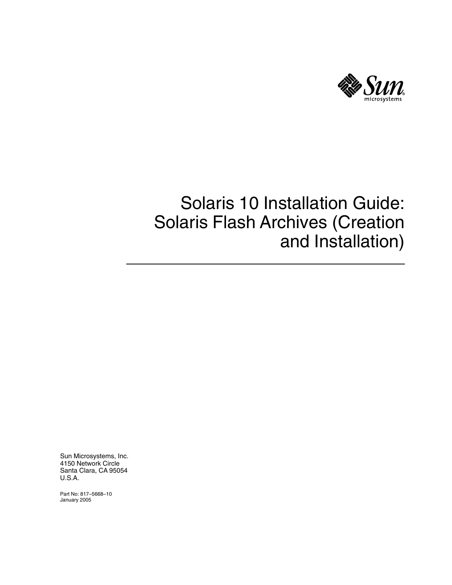

# Solaris 10 Installation Guide: Solaris Flash Archives (Creation and Installation)

Sun Microsystems, Inc. 4150 Network Circle Santa Clara, CA 95054 U.S.A.

Part No: 817–5668–10 January 2005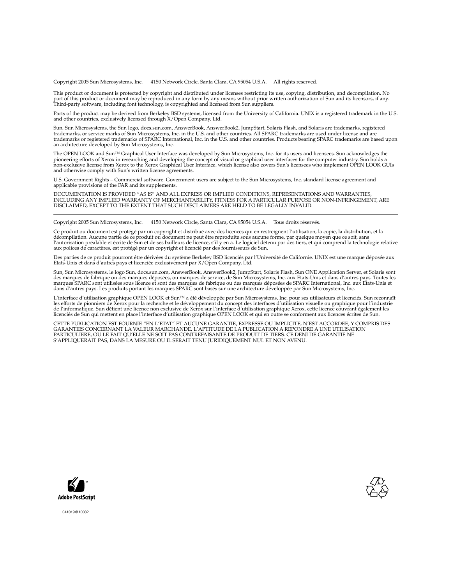Copyright 2005 Sun Microsystems, Inc. 4150 Network Circle, Santa Clara, CA 95054 U.S.A. All rights reserved.

This product or document is protected by copyright and distributed under licenses restricting its use, copying, distribution, and decompilation. No part of this product or document may be reproduced in any form by any means without prior written authorization of Sun and its licensors, if any.<br>Third-party software, including font technology, is copyrighted and licensed

Parts of the product may be derived from Berkeley BSD systems, licensed from the University of California. UNIX is a registered trademark in the U.S. and other countries, exclusively licensed through X/Open Company, Ltd.

Sun, Sun Microsystems, the Sun logo, docs.sun.com, AnswerBook, AnswerBook2, JumpStart, Solaris Flash, and Solaris are trademarks, registered<br>trademarks, or service marks of Sun Microsystems, Inc. in the U.S. and other coun an architecture developed by Sun Microsystems, Inc.

The OPEN LOOK and Sun™ Graphical User Interface was developed by Sun Microsystems, Inc. for its users and licensees. Sun acknowledges the pioneering efforts of Xerox in researching and developing the concept of visual or graphical user interfaces for the computer industry. Sun holds a<br>non-exclusive license from Xerox to the Xerox Graphical User Interface, wh and otherwise comply with Sun's written license agreements.

U.S. Government Rights – Commercial software. Government users are subject to the Sun Microsystems, Inc. standard license agreement and applicable provisions of the FAR and its supplements.

DOCUMENTATION IS PROVIDED "AS IS" AND ALL EXPRESS OR IMPLIED CONDITIONS, REPRESENTATIONS AND WARRANTIES,<br>INCLUDING ANY IMPLIED WARRANTY OF MERCHANTABILITY, FITNESS FOR A PARTICULAR PURPOSE OR NON-INFRINGEMENT, ARE<br>DISCLAIM

Copyright 2005 Sun Microsystems, Inc. 4150 Network Circle, Santa Clara, CA 95054 U.S.A. Tous droits réservés.

Ce produit ou document est protégé par un copyright et distribué avec des licences qui en restreignent l'utilisation, la copie, la distribution, et la décompilation. Aucune partie de ce produit ou document ne peut être reproduite sous aucune forme, par quelque moyen que ce soit, sans<br>l'autorisation préalable et écrite de Sun et de ses bailleurs de licence, s'il y en a. L

Des parties de ce produit pourront être dérivées du système Berkeley BSD licenciés par l'Université de Californie. UNIX est une marque déposée aux Etats-Unis et dans d'autres pays et licenciée exclusivement par X/Open Company, Ltd.

Sun, Sun Microsystems, le logo Sun, docs.sun.com, AnswerBook, AnswerBook2, JumpStart, Solaris Flash, Sun ONE Application Server, et Solaris sont des marques de fabrique ou des marques déposées, ou marques de service, de Sun Microsystems, Inc. aux Etats-Unis et dans d'autres pays. Toutes les<br>marques SPARC sont utilisées sous licence et sont des marques de fabrique o dans d'autres pays. Les produits portant les marques SPARC sont basés sur une architecture développée par Sun Microsystems, Inc.

L'interface d'utilisation graphique OPEN LOOK et Sun™a été développée par Sun Microsystems, Inc. pour ses utilisateurs et licenciés. Sun reconnaît<br>les efforts de pionniers de Xerox pour la recherche et le développement du de l'informatique. Sun détient une licence non exclusive de Xerox sur l'interface d'utilisation graphique Xerox, cette licence couvrant également les<br>licenciés de Sun qui mettent en place l'interface d'utilisation graphiqu

CETTE PUBLICATION EST FOURNIE "EN L'ETAT" ET AUCUNE GARANTIE, EXPRESSE OU IMPLICITE, N'EST ACCORDEE, Y COMPRIS DES GARANTIES CONCERNANT LA VALEUR MARCHANDE, L'APTITUDE DE LA PUBLICATION A REPONDRE A UNE UTILISATION<br>PARTICULIERE, OU LE FAIT QU'ELLE NE SOIT PAS CONTREFAISANTE DE PRODUIT DE TIERS. CE DENI DE GARANTIE NE<br>S'APPLIQUERAIT PAS





041019@10082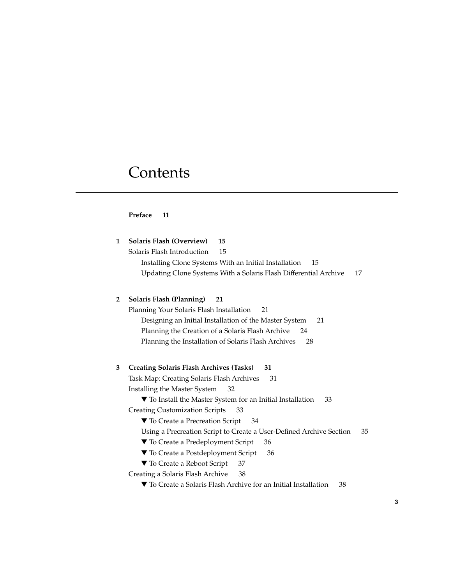## **Contents**

#### **[Preface 11](#page-10-0)**

| 1            | Solaris Flash (Overview)<br>15<br>Solaris Flash Introduction<br>15<br>Installing Clone Systems With an Initial Installation<br>15<br>Updating Clone Systems With a Solaris Flash Differential Archive<br>17 |
|--------------|-------------------------------------------------------------------------------------------------------------------------------------------------------------------------------------------------------------|
| $\mathbf{2}$ | Solaris Flash (Planning)<br>21<br>Planning Your Solaris Flash Installation<br>21                                                                                                                            |
|              | Designing an Initial Installation of the Master System<br>21                                                                                                                                                |
|              | Planning the Creation of a Solaris Flash Archive<br>24                                                                                                                                                      |
|              | Planning the Installation of Solaris Flash Archives<br>28                                                                                                                                                   |
| 3            | <b>Creating Solaris Flash Archives (Tasks)</b><br>31                                                                                                                                                        |
|              | Task Map: Creating Solaris Flash Archives<br>31                                                                                                                                                             |
|              | Installing the Master System<br>32                                                                                                                                                                          |
|              | ▼ To Install the Master System for an Initial Installation<br>33                                                                                                                                            |
|              | <b>Creating Customization Scripts</b><br>33                                                                                                                                                                 |
|              | ▼ To Create a Precreation Script<br>- 34                                                                                                                                                                    |
|              | Using a Precreation Script to Create a User-Defined Archive Section<br>35                                                                                                                                   |
|              | ▼ To Create a Predeployment Script<br>36                                                                                                                                                                    |
|              | ▼ To Create a Postdeployment Script<br>36                                                                                                                                                                   |
|              | ▼ To Create a Reboot Script<br>37                                                                                                                                                                           |
|              | 38<br>Creating a Solaris Flash Archive                                                                                                                                                                      |
|              | $\blacktriangledown$ To Create a Solaris Flash Archive for an Initial Installation<br>38                                                                                                                    |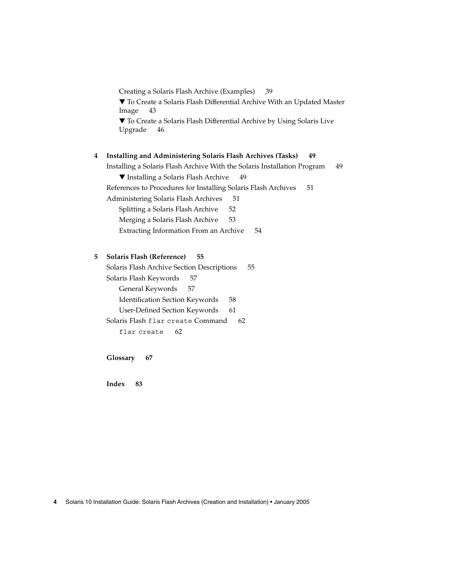[Creating a Solaris Flash Archive \(Examples\) 39](#page-38-0)

▼ [To Create a Solaris Flash Differential Archive With an Updated Master](#page-42-0) [Image 43](#page-42-0)

▼ [To Create a Solaris Flash Differential Archive by Using Solaris Live](#page-45-0) [Upgrade 46](#page-45-0)

**[4 Installing and Administering Solaris Flash Archives \(Tasks\) 49](#page-48-0)**

[Installing a Solaris Flash Archive With the Solaris Installation Program 49](#page-48-0)

▼ [Installing a Solaris Flash Archive 49](#page-48-0) [References to Procedures for Installing Solaris Flash Archives 51](#page-50-0) [Administering Solaris Flash Archives 51](#page-50-0)

[Splitting a Solaris Flash Archive 52](#page-51-0)

[Merging a Solaris Flash Archive 53](#page-52-0)

[Extracting Information From an Archive 54](#page-53-0)

#### **[5 Solaris Flash \(Reference\) 55](#page-54-0)**

[Solaris Flash Archive Section Descriptions 55](#page-54-0) [Solaris Flash Keywords 57](#page-56-0) [General Keywords 57](#page-56-0) [Identification Section Keywords 58](#page-57-0) [User-Defined Section Keywords 61](#page-60-0) Solaris Flash flar create [Command 62](#page-61-0) [flar create](#page-61-0) 62

**[Glossary 67](#page-66-0)**

**[Index 83](#page-82-0)**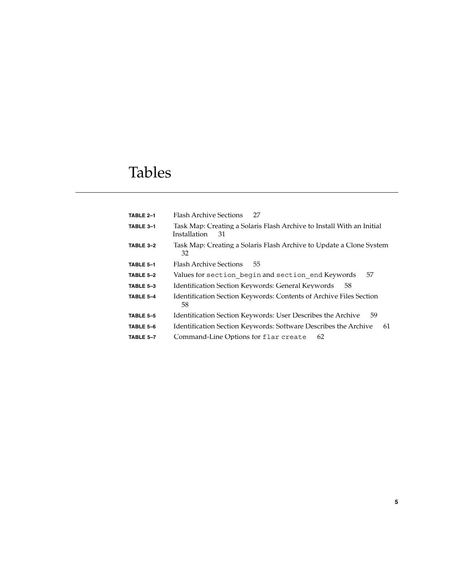# Tables

| TABLE 2-1 | <b>Flash Archive Sections</b><br>27                                                         |
|-----------|---------------------------------------------------------------------------------------------|
| TABLE 3-1 | Task Map: Creating a Solaris Flash Archive to Install With an Initial<br>Installation<br>31 |
| TABLE 3-2 | Task Map: Creating a Solaris Flash Archive to Update a Clone System<br>32                   |
| TABLE 5-1 | <b>Flash Archive Sections</b><br>55                                                         |
| TABLE 5-2 | 57<br>Values for section begin and section end Keywords                                     |
| TABLE 5-3 | Identification Section Keywords: General Keywords<br>58                                     |
| TABLE 5-4 | Identification Section Keywords: Contents of Archive Files Section<br>58                    |
| TABLE 5-5 | Identification Section Keywords: User Describes the Archive<br>59                           |
| TABLE 5-6 | Identification Section Keywords: Software Describes the Archive<br>61                       |
| TABLE 5-7 | Command-Line Options for flar create<br>62                                                  |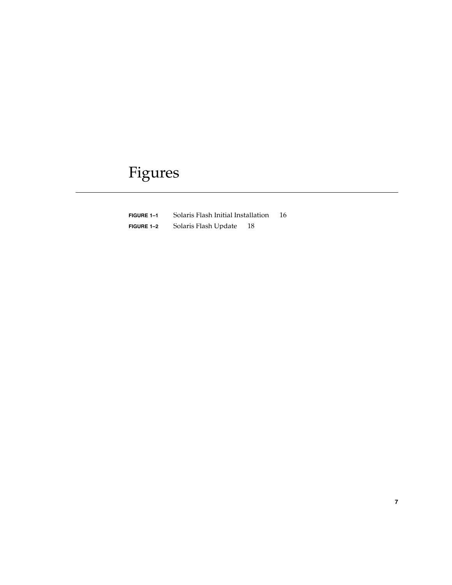# Figures

**FIGURE 1–1** [Solaris Flash Initial Installation 16](#page-15-0) **FIGURE 1–2** [Solaris Flash Update 18](#page-17-0)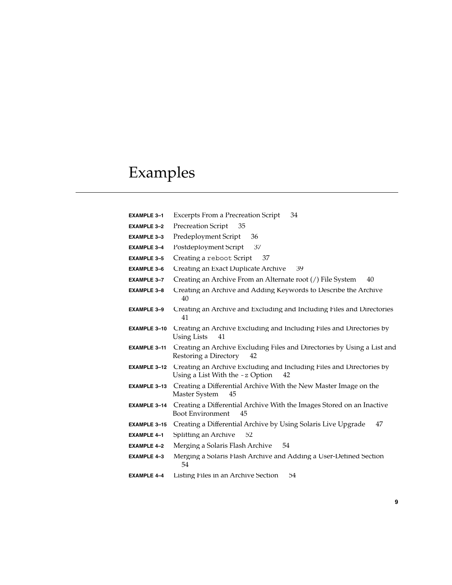# Examples

| <b>EXAMPLE 3-1</b>  | <b>Excerpts From a Precreation Script</b><br>34                                                               |  |  |
|---------------------|---------------------------------------------------------------------------------------------------------------|--|--|
| <b>EXAMPLE 3-2</b>  | Precreation Script<br>35                                                                                      |  |  |
| <b>EXAMPLE 3-3</b>  | Predeployment Script<br>36                                                                                    |  |  |
| <b>EXAMPLE 3-4</b>  | Postdeployment Script<br>37                                                                                   |  |  |
| <b>EXAMPLE 3-5</b>  | Creating a reboot Script<br>-37                                                                               |  |  |
| <b>EXAMPLE 3-6</b>  | Creating an Exact Duplicate Archive<br>39                                                                     |  |  |
| <b>EXAMPLE 3-7</b>  | Creating an Archive From an Alternate root (/) File System<br>40                                              |  |  |
| <b>EXAMPLE 3-8</b>  | Creating an Archive and Adding Keywords to Describe the Archive<br>40                                         |  |  |
| <b>EXAMPLE 3-9</b>  | Creating an Archive and Excluding and Including Files and Directories<br>41                                   |  |  |
| <b>EXAMPLE 3-10</b> | Creating an Archive Excluding and Including Files and Directories by<br>Using Lists<br>41                     |  |  |
| <b>EXAMPLE 3-11</b> | Creating an Archive Excluding Files and Directories by Using a List and<br>Restoring a Directory<br>42        |  |  |
| <b>EXAMPLE 3-12</b> | Creating an Archive Excluding and Including Files and Directories by<br>Using a List With the -z Option<br>42 |  |  |
| <b>EXAMPLE 3-13</b> | Creating a Differential Archive With the New Master Image on the<br>Master System<br>45                       |  |  |
| <b>EXAMPLE 3-14</b> | Creating a Differential Archive With the Images Stored on an Inactive<br><b>Boot Environment</b><br>45        |  |  |
| <b>EXAMPLE 3-15</b> | Creating a Differential Archive by Using Solaris Live Upgrade<br>47                                           |  |  |
| <b>EXAMPLE 4-1</b>  | Splitting an Archive<br>52                                                                                    |  |  |
| <b>EXAMPLE 4-2</b>  | Merging a Solaris Flash Archive<br>54                                                                         |  |  |
| <b>EXAMPLE 4-3</b>  | Merging a Solaris Flash Archive and Adding a User-Defined Section<br>54                                       |  |  |
| <b>EXAMPLE 4-4</b>  | Listing Files in an Archive Section<br>54                                                                     |  |  |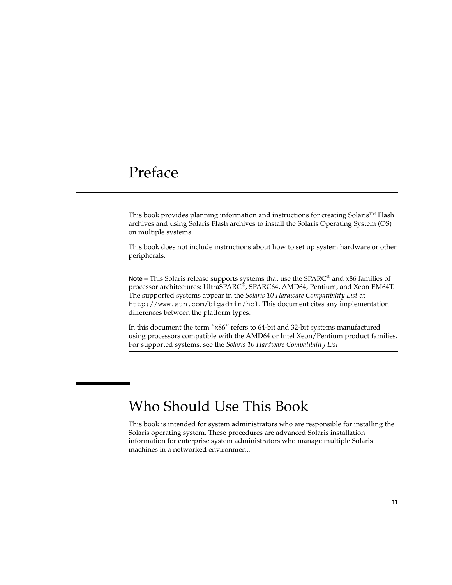## <span id="page-10-0"></span>Preface

This book provides planning information and instructions for creating Solaris™ Flash archives and using Solaris Flash archives to install the Solaris Operating System (OS) on multiple systems.

This book does not include instructions about how to set up system hardware or other peripherals.

**Note –** This Solaris release supports systems that use the SPARC® and x86 families of processor architectures: UltraSPARC®, SPARC64, AMD64, Pentium, and Xeon EM64T. The supported systems appear in the *Solaris 10 Hardware Compatibility List* at <http://www.sun.com/bigadmin/hcl>. This document cites any implementation differences between the platform types.

In this document the term "x86" refers to 64-bit and 32-bit systems manufactured using processors compatible with the AMD64 or Intel Xeon/Pentium product families. For supported systems, see the *Solaris 10 Hardware Compatibility List*.

### Who Should Use This Book

This book is intended for system administrators who are responsible for installing the Solaris operating system. These procedures are advanced Solaris installation information for enterprise system administrators who manage multiple Solaris machines in a networked environment.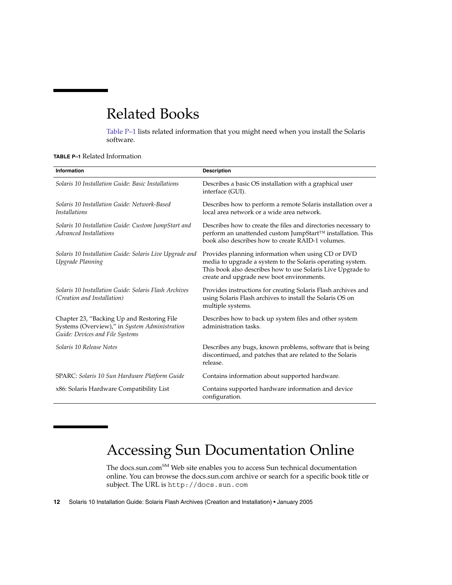## Related Books

Table P–1 lists related information that you might need when you install the Solaris software.

#### **TABLE P–1** Related Information

| Information                                                                                                                    | <b>Description</b>                                                                                                                                                                                                           |
|--------------------------------------------------------------------------------------------------------------------------------|------------------------------------------------------------------------------------------------------------------------------------------------------------------------------------------------------------------------------|
| Solaris 10 Installation Guide: Basic Installations                                                                             | Describes a basic OS installation with a graphical user<br>interface (GUI).                                                                                                                                                  |
| Solaris 10 Installation Guide: Network-Based<br><i>Installations</i>                                                           | Describes how to perform a remote Solaris installation over a<br>local area network or a wide area network.                                                                                                                  |
| Solaris 10 Installation Guide: Custom JumpStart and<br>Advanced Installations                                                  | Describes how to create the files and directories necessary to<br>perform an unattended custom JumpStart™ installation. This<br>book also describes how to create RAID-1 volumes.                                            |
| Solaris 10 Installation Guide: Solaris Live Upgrade and<br>Upgrade Planning                                                    | Provides planning information when using CD or DVD<br>media to upgrade a system to the Solaris operating system.<br>This book also describes how to use Solaris Live Upgrade to<br>create and upgrade new boot environments. |
| Solaris 10 Installation Guide: Solaris Flash Archives<br>(Creation and Installation)                                           | Provides instructions for creating Solaris Flash archives and<br>using Solaris Flash archives to install the Solaris OS on<br>multiple systems.                                                                              |
| Chapter 23, "Backing Up and Restoring File<br>Systems (Overview)," in System Administration<br>Guide: Devices and File Systems | Describes how to back up system files and other system<br>administration tasks.                                                                                                                                              |
| Solaris 10 Release Notes                                                                                                       | Describes any bugs, known problems, software that is being<br>discontinued, and patches that are related to the Solaris<br>release.                                                                                          |
| SPARC: Solaris 10 Sun Hardware Platform Guide                                                                                  | Contains information about supported hardware.                                                                                                                                                                               |
| x86: Solaris Hardware Compatibility List                                                                                       | Contains supported hardware information and device<br>configuration.                                                                                                                                                         |

# Accessing Sun Documentation Online

The docs.sun.com<sup>SM</sup> Web site enables you to access Sun technical documentation online. You can browse the docs.sun.com archive or search for a specific book title or subject. The URL is <http://docs.sun.com>.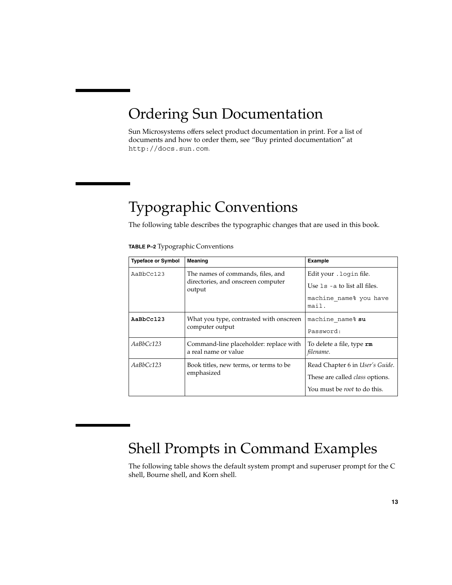## Ordering Sun Documentation

Sun Microsystems offers select product documentation in print. For a list of documents and how to order them, see "Buy printed documentation" at <http://docs.sun.com>.

## Typographic Conventions

The following table describes the typographic changes that are used in this book.

| <b>TABLE P-2</b> Typographic Conventions |  |  |
|------------------------------------------|--|--|
|------------------------------------------|--|--|

| <b>Typeface or Symbol</b> | <b>Meaning</b>                                                                    | <b>Example</b>                                                                                                   |
|---------------------------|-----------------------------------------------------------------------------------|------------------------------------------------------------------------------------------------------------------|
| AaBbCc123                 | The names of commands, files, and<br>directories, and onscreen computer<br>output | Edit your . login file.<br>Use $1s$ - a to list all files.<br>machine name% you have<br>mail.                    |
| AaBbCc123                 | What you type, contrasted with onscreen<br>computer output                        | machine name% su<br>Password:                                                                                    |
| AaBbCc123                 | Command-line placeholder: replace with<br>a real name or value                    | To delete a file, type <b>rm</b><br>filename.                                                                    |
| AaBbCc123                 | Book titles, new terms, or terms to be<br>emphasized                              | Read Chapter 6 in User's Guide.<br>These are called <i>class</i> options.<br>You must be <i>root</i> to do this. |

## Shell Prompts in Command Examples

The following table shows the default system prompt and superuser prompt for the C shell, Bourne shell, and Korn shell.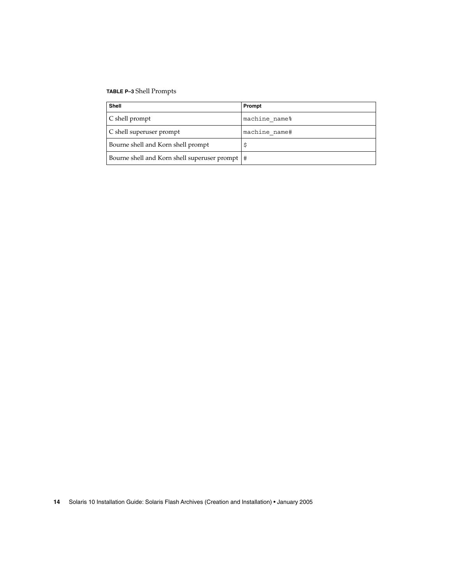#### **TABLE P–3** Shell Prompts

| <b>Shell</b>                                     | Prompt        |
|--------------------------------------------------|---------------|
| C shell prompt                                   | machine name% |
| C shell superuser prompt                         | machine name# |
| Bourne shell and Korn shell prompt               | \$            |
| Bourne shell and Korn shell superuser prompt   # |               |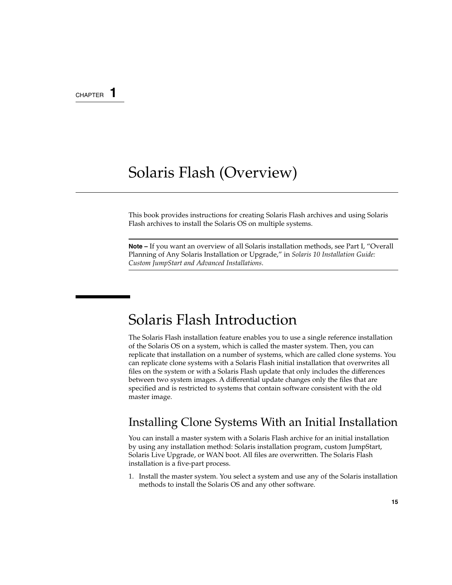#### <span id="page-14-0"></span>CHAPTER **1**

## Solaris Flash (Overview)

This book provides instructions for creating Solaris Flash archives and using Solaris Flash archives to install the Solaris OS on multiple systems.

**Note –** If you want an overview of all Solaris installation methods, see Part I, "Overall Planning of Any Solaris Installation or Upgrade," in *Solaris 10 Installation Guide: Custom JumpStart and Advanced Installations*.

## Solaris Flash Introduction

The Solaris Flash installation feature enables you to use a single reference installation of the Solaris OS on a system, which is called the master system. Then, you can replicate that installation on a number of systems, which are called clone systems. You can replicate clone systems with a Solaris Flash initial installation that overwrites all files on the system or with a Solaris Flash update that only includes the differences between two system images. A differential update changes only the files that are specified and is restricted to systems that contain software consistent with the old master image.

#### Installing Clone Systems With an Initial Installation

You can install a master system with a Solaris Flash archive for an initial installation by using any installation method: Solaris installation program, custom JumpStart, Solaris Live Upgrade, or WAN boot. All files are overwritten. The Solaris Flash installation is a five-part process.

1. Install the master system. You select a system and use any of the Solaris installation methods to install the Solaris OS and any other software.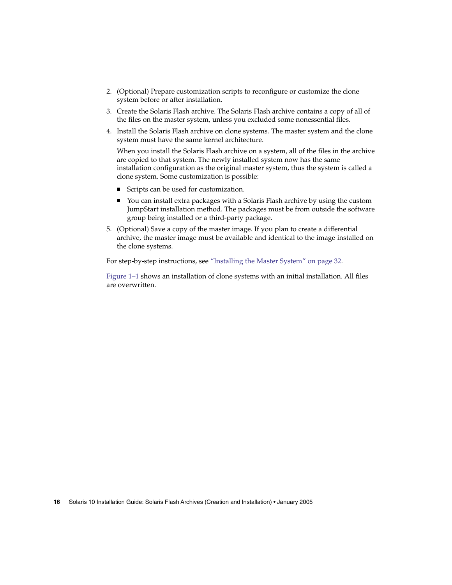- <span id="page-15-0"></span>2. (Optional) Prepare customization scripts to reconfigure or customize the clone system before or after installation.
- 3. Create the Solaris Flash archive. The Solaris Flash archive contains a copy of all of the files on the master system, unless you excluded some nonessential files.
- 4. Install the Solaris Flash archive on clone systems. The master system and the clone system must have the same kernel architecture.

When you install the Solaris Flash archive on a system, all of the files in the archive are copied to that system. The newly installed system now has the same installation configuration as the original master system, thus the system is called a clone system. Some customization is possible:

- Scripts can be used for customization.
- You can install extra packages with a Solaris Flash archive by using the custom JumpStart installation method. The packages must be from outside the software group being installed or a third-party package.
- 5. (Optional) Save a copy of the master image. If you plan to create a differential archive, the master image must be available and identical to the image installed on the clone systems.

For step-by-step instructions, see ["Installing the Master System"](#page-31-0) on page 32.

[Figure 1–1](#page-16-0) shows an installation of clone systems with an initial installation. All files are overwritten.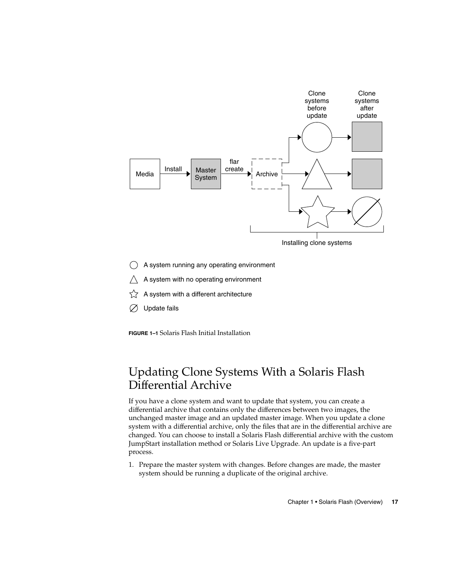<span id="page-16-0"></span>

- $\bigcap$  A system running any operating environment
- $\triangle$ A system with no operating environment
- $\bigcirc$  A system with a different architecture
- $\oslash$  Update fails

**FIGURE 1–1** Solaris Flash Initial Installation

### Updating Clone Systems With a Solaris Flash Differential Archive

If you have a clone system and want to update that system, you can create a differential archive that contains only the differences between two images, the unchanged master image and an updated master image. When you update a clone system with a differential archive, only the files that are in the differential archive are changed. You can choose to install a Solaris Flash differential archive with the custom JumpStart installation method or Solaris Live Upgrade. An update is a five-part process.

1. Prepare the master system with changes. Before changes are made, the master system should be running a duplicate of the original archive.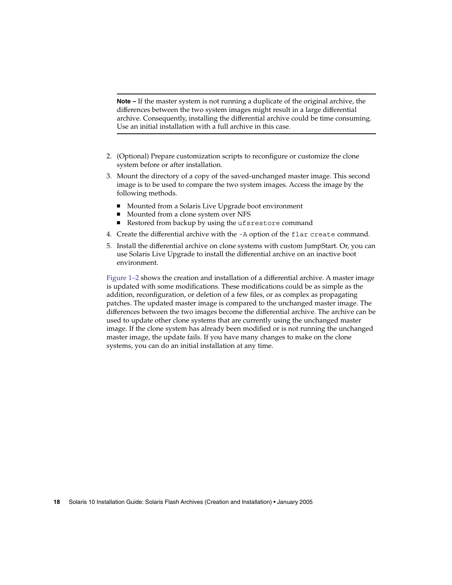<span id="page-17-0"></span>**Note –** If the master system is not running a duplicate of the original archive, the differences between the two system images might result in a large differential archive. Consequently, installing the differential archive could be time consuming. Use an initial installation with a full archive in this case.

- 2. (Optional) Prepare customization scripts to reconfigure or customize the clone system before or after installation.
- 3. Mount the directory of a copy of the saved-unchanged master image. This second image is to be used to compare the two system images. Access the image by the following methods.
	- Mounted from a Solaris Live Upgrade boot environment
	- Mounted from a clone system over NFS
	- Restored from backup by using the ufsrestore command
- 4. Create the differential archive with the -A option of the flar create command.
- 5. Install the differential archive on clone systems with custom JumpStart. Or, you can use Solaris Live Upgrade to install the differential archive on an inactive boot environment.

[Figure 1–2](#page-18-0) shows the creation and installation of a differential archive. A master image is updated with some modifications. These modifications could be as simple as the addition, reconfiguration, or deletion of a few files, or as complex as propagating patches. The updated master image is compared to the unchanged master image. The differences between the two images become the differential archive. The archive can be used to update other clone systems that are currently using the unchanged master image. If the clone system has already been modified or is not running the unchanged master image, the update fails. If you have many changes to make on the clone systems, you can do an initial installation at any time.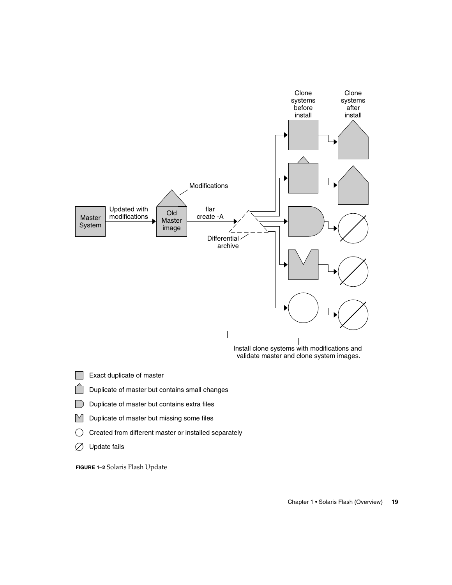<span id="page-18-0"></span>

Install clone systems with modifications and validate master and clone system images.

Exact duplicate of master

- Duplicate of master but contains small changes
- Duplicate of master but contains extra files
- M Duplicate of master but missing some files
- $\bigcirc$ Created from different master or installed separately
- $\oslash$  Update fails

**FIGURE 1–2** Solaris Flash Update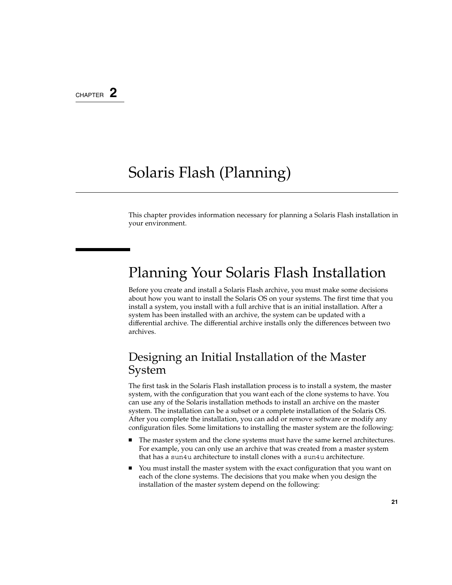#### <span id="page-20-0"></span>CHAPTER **2**

## Solaris Flash (Planning)

This chapter provides information necessary for planning a Solaris Flash installation in your environment.

### Planning Your Solaris Flash Installation

Before you create and install a Solaris Flash archive, you must make some decisions about how you want to install the Solaris OS on your systems. The first time that you install a system, you install with a full archive that is an initial installation. After a system has been installed with an archive, the system can be updated with a differential archive. The differential archive installs only the differences between two archives.

### Designing an Initial Installation of the Master System

The first task in the Solaris Flash installation process is to install a system, the master system, with the configuration that you want each of the clone systems to have. You can use any of the Solaris installation methods to install an archive on the master system. The installation can be a subset or a complete installation of the Solaris OS. After you complete the installation, you can add or remove software or modify any configuration files. Some limitations to installing the master system are the following:

- The master system and the clone systems must have the same kernel architectures. For example, you can only use an archive that was created from a master system that has a sun4u architecture to install clones with a sun4u architecture.
- You must install the master system with the exact configuration that you want on each of the clone systems. The decisions that you make when you design the installation of the master system depend on the following: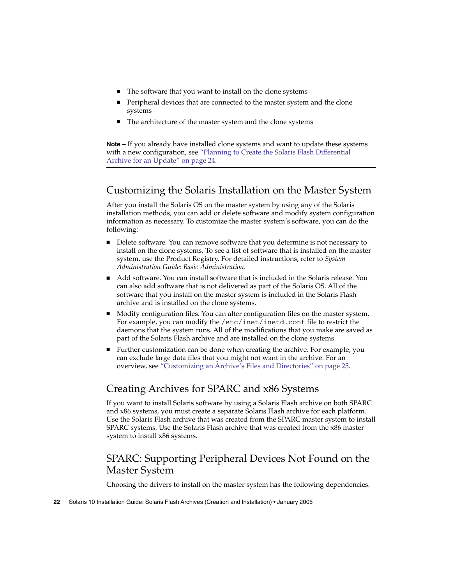- The software that you want to install on the clone systems
- Peripheral devices that are connected to the master system and the clone systems
- The architecture of the master system and the clone systems

**Note –** If you already have installed clone systems and want to update these systems with a new configuration, see ["Planning to Create the Solaris Flash Differential](#page-23-0) [Archive for an Update"](#page-23-0) on page 24.

#### Customizing the Solaris Installation on the Master System

After you install the Solaris OS on the master system by using any of the Solaris installation methods, you can add or delete software and modify system configuration information as necessary. To customize the master system's software, you can do the following:

- Delete software. You can remove software that you determine is not necessary to install on the clone systems. To see a list of software that is installed on the master system, use the Product Registry. For detailed instructions, refer to *System Administration Guide: Basic Administration*.
- Add software. You can install software that is included in the Solaris release. You can also add software that is not delivered as part of the Solaris OS. All of the software that you install on the master system is included in the Solaris Flash archive and is installed on the clone systems.
- Modify configuration files. You can alter configuration files on the master system. For example, you can modify the /etc/inet/inetd.conf file to restrict the daemons that the system runs. All of the modifications that you make are saved as part of the Solaris Flash archive and are installed on the clone systems.
- Further customization can be done when creating the archive. For example, you can exclude large data files that you might not want in the archive. For an overview, see ["Customizing an Archive's Files and Directories"](#page-24-0) on page 25.

#### Creating Archives for SPARC and x86 Systems

If you want to install Solaris software by using a Solaris Flash archive on both SPARC and x86 systems, you must create a separate Solaris Flash archive for each platform. Use the Solaris Flash archive that was created from the SPARC master system to install SPARC systems. Use the Solaris Flash archive that was created from the x86 master system to install x86 systems.

#### SPARC: Supporting Peripheral Devices Not Found on the Master System

Choosing the drivers to install on the master system has the following dependencies.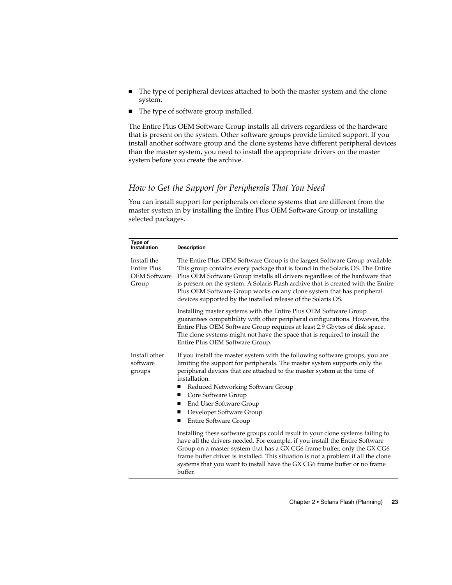- The type of peripheral devices attached to both the master system and the clone system.
- The type of software group installed.

The Entire Plus OEM Software Group installs all drivers regardless of the hardware that is present on the system. Other software groups provide limited support. If you install another software group and the clone systems have different peripheral devices than the master system, you need to install the appropriate drivers on the master system before you create the archive.

#### *How to Get the Support for Peripherals That You Need*

You can install support for peripherals on clone systems that are different from the master system in by installing the Entire Plus OEM Software Group or installing selected packages.

| Type of<br>Installation                                           | <b>Description</b>                                                                                                                                                                                                                                                                                                                                                                                                                                                          |
|-------------------------------------------------------------------|-----------------------------------------------------------------------------------------------------------------------------------------------------------------------------------------------------------------------------------------------------------------------------------------------------------------------------------------------------------------------------------------------------------------------------------------------------------------------------|
| Install the<br><b>Entire Plus</b><br><b>OEM</b> Software<br>Group | The Entire Plus OEM Software Group is the largest Software Group available.<br>This group contains every package that is found in the Solaris OS. The Entire<br>Plus OEM Software Group installs all drivers regardless of the hardware that<br>is present on the system. A Solaris Flash archive that is created with the Entire<br>Plus OEM Software Group works on any clone system that has peripheral<br>devices supported by the installed release of the Solaris OS. |
|                                                                   | Installing master systems with the Entire Plus OEM Software Group<br>guarantees compatibility with other peripheral configurations. However, the<br>Entire Plus OEM Software Group requires at least 2.9 Gbytes of disk space.<br>The clone systems might not have the space that is required to install the<br>Entire Plus OEM Software Group.                                                                                                                             |
| Install other<br>software<br>groups                               | If you install the master system with the following software groups, you are<br>limiting the support for peripherals. The master system supports only the<br>peripheral devices that are attached to the master system at the time of<br>installation.<br>Reduced Networking Software Group<br>■<br>Core Software Group<br>■<br>End User Software Group<br>Developer Software Group<br>■<br>Entire Software Group                                                           |
|                                                                   | Installing these software groups could result in your clone systems failing to<br>have all the drivers needed. For example, if you install the Entire Software<br>Group on a master system that has a GX CG6 frame buffer, only the GX CG6<br>frame buffer driver is installed. This situation is not a problem if all the clone<br>systems that you want to install have the GX CG6 frame buffer or no frame<br>buffer.                                                    |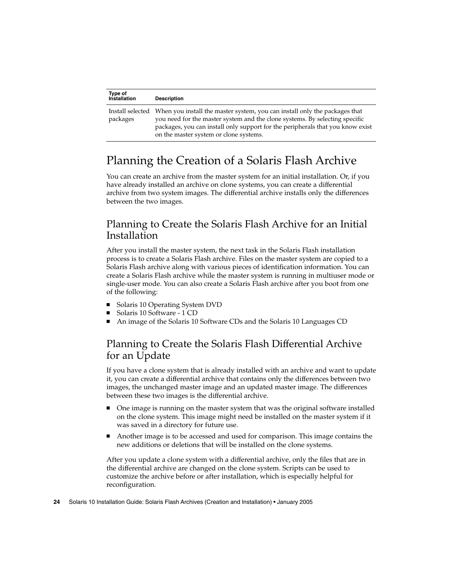<span id="page-23-0"></span>

| Type of<br>Installation | <b>Description</b>                                                                                                                                                                                                                                                                                     |
|-------------------------|--------------------------------------------------------------------------------------------------------------------------------------------------------------------------------------------------------------------------------------------------------------------------------------------------------|
| packages                | Install selected When you install the master system, you can install only the packages that<br>you need for the master system and the clone systems. By selecting specific<br>packages, you can install only support for the peripherals that you know exist<br>on the master system or clone systems. |

### Planning the Creation of a Solaris Flash Archive

You can create an archive from the master system for an initial installation. Or, if you have already installed an archive on clone systems, you can create a differential archive from two system images. The differential archive installs only the differences between the two images.

#### Planning to Create the Solaris Flash Archive for an Initial Installation

After you install the master system, the next task in the Solaris Flash installation process is to create a Solaris Flash archive. Files on the master system are copied to a Solaris Flash archive along with various pieces of identification information. You can create a Solaris Flash archive while the master system is running in multiuser mode or single-user mode. You can also create a Solaris Flash archive after you boot from one of the following:

- Solaris 10 Operating System DVD
- Solaris 10 Software 1 CD
- An image of the Solaris 10 Software CDs and the Solaris 10 Languages CD

#### Planning to Create the Solaris Flash Differential Archive for an Update

If you have a clone system that is already installed with an archive and want to update it, you can create a differential archive that contains only the differences between two images, the unchanged master image and an updated master image. The differences between these two images is the differential archive.

- One image is running on the master system that was the original software installed on the clone system. This image might need be installed on the master system if it was saved in a directory for future use.
- Another image is to be accessed and used for comparison. This image contains the new additions or deletions that will be installed on the clone systems.

After you update a clone system with a differential archive, only the files that are in the differential archive are changed on the clone system. Scripts can be used to customize the archive before or after installation, which is especially helpful for reconfiguration.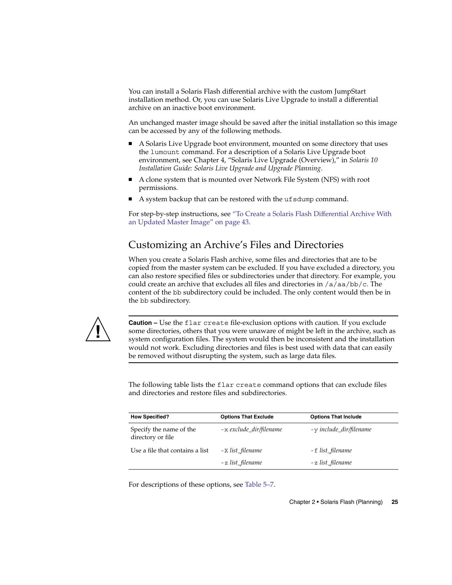<span id="page-24-0"></span>You can install a Solaris Flash differential archive with the custom JumpStart installation method. Or, you can use Solaris Live Upgrade to install a differential archive on an inactive boot environment.

An unchanged master image should be saved after the initial installation so this image can be accessed by any of the following methods.

- A Solaris Live Upgrade boot environment, mounted on some directory that uses the lumount command. For a description of a Solaris Live Upgrade boot environment, see Chapter 4, "Solaris Live Upgrade (Overview)," in *Solaris 10 Installation Guide: Solaris Live Upgrade and Upgrade Planning*.
- A clone system that is mounted over Network File System (NFS) with root permissions.
- A system backup that can be restored with the ufsdump command.

For step-by-step instructions, see ["To Create a Solaris Flash Differential Archive With](#page-42-0) [an Updated Master Image"](#page-42-0) on page 43.

#### Customizing an Archive's Files and Directories

When you create a Solaris Flash archive, some files and directories that are to be copied from the master system can be excluded. If you have excluded a directory, you can also restore specified files or subdirectories under that directory. For example, you could create an archive that excludes all files and directories in  $/a/aa/bb/c$ . The content of the bb subdirectory could be included. The only content would then be in the bb subdirectory.



**Caution –** Use the flar create file-exclusion options with caution. If you exclude some directories, others that you were unaware of might be left in the archive, such as system configuration files. The system would then be inconsistent and the installation would not work. Excluding directories and files is best used with data that can easily be removed without disrupting the system, such as large data files.

The following table lists the flar create command options that can exclude files and directories and restore files and subdirectories.

| <b>How Specified?</b>                        | <b>Options That Exclude</b> | <b>Options That Include</b> |
|----------------------------------------------|-----------------------------|-----------------------------|
| Specify the name of the<br>directory or file | -x exclude_dir/filename     | -y include_dir/filename     |
| Use a file that contains a list              | -x list_filename            | -f list_filename            |
|                                              | - z list_filename           | -z list_filename            |

For descriptions of these options, see [Table 5–7.](#page-61-0)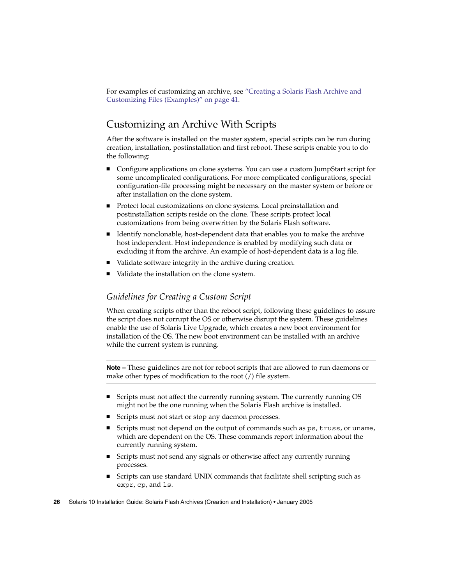<span id="page-25-0"></span>For examples of customizing an archive, see ["Creating a Solaris Flash Archive and](#page-40-0) [Customizing Files \(Examples\)"](#page-40-0) on page 41.

#### Customizing an Archive With Scripts

After the software is installed on the master system, special scripts can be run during creation, installation, postinstallation and first reboot. These scripts enable you to do the following:

- Configure applications on clone systems. You can use a custom JumpStart script for some uncomplicated configurations. For more complicated configurations, special configuration-file processing might be necessary on the master system or before or after installation on the clone system.
- Protect local customizations on clone systems. Local preinstallation and postinstallation scripts reside on the clone. These scripts protect local customizations from being overwritten by the Solaris Flash software.
- Identify nonclonable, host-dependent data that enables you to make the archive host independent. Host independence is enabled by modifying such data or excluding it from the archive. An example of host-dependent data is a log file.
- Validate software integrity in the archive during creation.
- Validate the installation on the clone system.

#### *Guidelines for Creating a Custom Script*

When creating scripts other than the reboot script, following these guidelines to assure the script does not corrupt the OS or otherwise disrupt the system. These guidelines enable the use of Solaris Live Upgrade, which creates a new boot environment for installation of the OS. The new boot environment can be installed with an archive while the current system is running.

**Note –** These guidelines are not for reboot scripts that are allowed to run daemons or make other types of modification to the root (/) file system.

- Scripts must not affect the currently running system. The currently running OS might not be the one running when the Solaris Flash archive is installed.
- Scripts must not start or stop any daemon processes.
- Scripts must not depend on the output of commands such as ps, truss, or uname, which are dependent on the OS. These commands report information about the currently running system.
- Scripts must not send any signals or otherwise affect any currently running processes.
- Scripts can use standard UNIX commands that facilitate shell scripting such as expr, cp, and ls.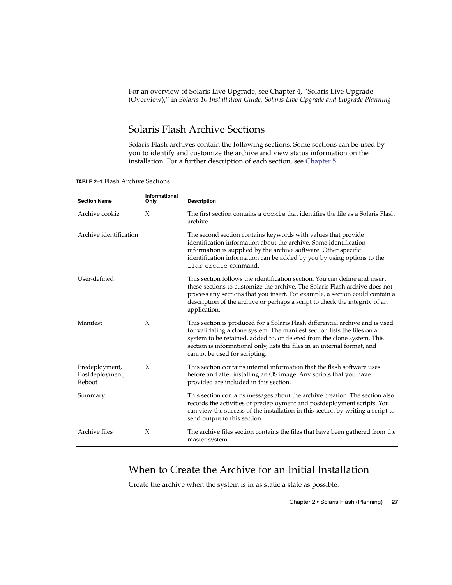<span id="page-26-0"></span>For an overview of Solaris Live Upgrade, see Chapter 4, "Solaris Live Upgrade (Overview)," in *Solaris 10 Installation Guide: Solaris Live Upgrade and Upgrade Planning*.

#### Solaris Flash Archive Sections

Solaris Flash archives contain the following sections. Some sections can be used by you to identify and customize the archive and view status information on the installation. For a further description of each section, see [Chapter 5.](#page-54-0)

**TABLE 2–1** Flash Archive Sections

| <b>Section Name</b>                         | Informational<br>Only | <b>Description</b>                                                                                                                                                                                                                                                                                                                                 |
|---------------------------------------------|-----------------------|----------------------------------------------------------------------------------------------------------------------------------------------------------------------------------------------------------------------------------------------------------------------------------------------------------------------------------------------------|
| Archive cookie                              | X                     | The first section contains a cookie that identifies the file as a Solaris Flash<br>archive.                                                                                                                                                                                                                                                        |
| Archive identification                      |                       | The second section contains keywords with values that provide<br>identification information about the archive. Some identification<br>information is supplied by the archive software. Other specific<br>identification information can be added by you by using options to the<br>flar create command.                                            |
| User-defined                                |                       | This section follows the identification section. You can define and insert<br>these sections to customize the archive. The Solaris Flash archive does not<br>process any sections that you insert. For example, a section could contain a<br>description of the archive or perhaps a script to check the integrity of an<br>application.           |
| Manifest                                    | X                     | This section is produced for a Solaris Flash differential archive and is used<br>for validating a clone system. The manifest section lists the files on a<br>system to be retained, added to, or deleted from the clone system. This<br>section is informational only, lists the files in an internal format, and<br>cannot be used for scripting. |
| Predeployment,<br>Postdeployment,<br>Reboot | X                     | This section contains internal information that the flash software uses<br>before and after installing an OS image. Any scripts that you have<br>provided are included in this section.                                                                                                                                                            |
| Summary                                     |                       | This section contains messages about the archive creation. The section also<br>records the activities of predeployment and postdeployment scripts. You<br>can view the success of the installation in this section by writing a script to<br>send output to this section.                                                                          |
| Archive files                               | X                     | The archive files section contains the files that have been gathered from the<br>master system.                                                                                                                                                                                                                                                    |

#### When to Create the Archive for an Initial Installation

Create the archive when the system is in as static a state as possible.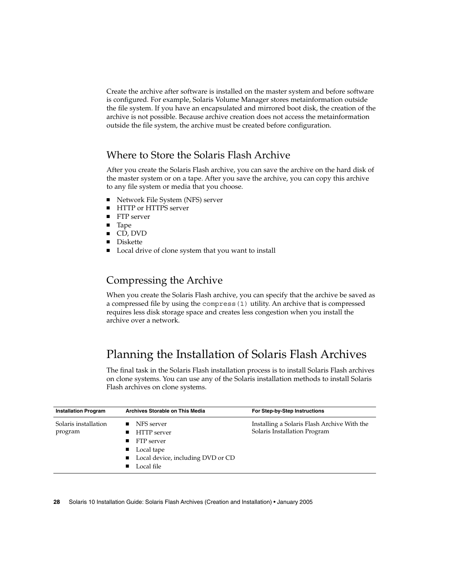<span id="page-27-0"></span>Create the archive after software is installed on the master system and before software is configured. For example, Solaris Volume Manager stores metainformation outside the file system. If you have an encapsulated and mirrored boot disk, the creation of the archive is not possible. Because archive creation does not access the metainformation outside the file system, the archive must be created before configuration.

#### Where to Store the Solaris Flash Archive

After you create the Solaris Flash archive, you can save the archive on the hard disk of the master system or on a tape. After you save the archive, you can copy this archive to any file system or media that you choose.

- Network File System (NFS) server
- HTTP or HTTPS server
- FTP server
- Tape
- CD, DVD
- Diskette
- Local drive of clone system that you want to install

#### Compressing the Archive

When you create the Solaris Flash archive, you can specify that the archive be saved as a compressed file by using the compress(1) utility. An archive that is compressed requires less disk storage space and creates less congestion when you install the archive over a network.

### Planning the Installation of Solaris Flash Archives

The final task in the Solaris Flash installation process is to install Solaris Flash archives on clone systems. You can use any of the Solaris installation methods to install Solaris Flash archives on clone systems.

| <b>Installation Program</b>     | Archives Storable on This Media                                                                          | For Step-by-Step Instructions                                               |
|---------------------------------|----------------------------------------------------------------------------------------------------------|-----------------------------------------------------------------------------|
| Solaris installation<br>program | NFS server<br>HTTP server<br>FTP server<br>Local tape<br>Local device, including DVD or CD<br>Local file | Installing a Solaris Flash Archive With the<br>Solaris Installation Program |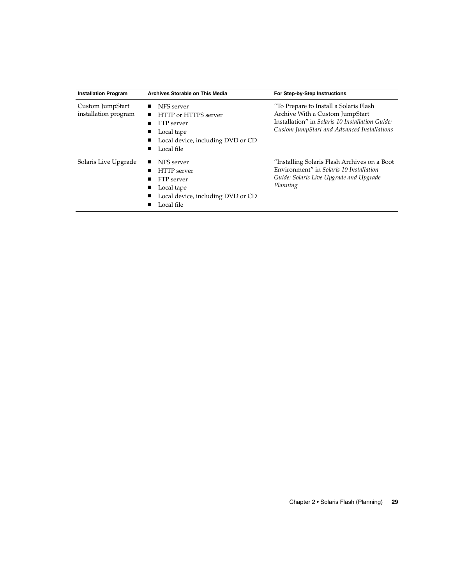| <b>Installation Program</b>              | <b>Archives Storable on This Media</b>                                                                                        | For Step-by-Step Instructions                                                                                                                                                |
|------------------------------------------|-------------------------------------------------------------------------------------------------------------------------------|------------------------------------------------------------------------------------------------------------------------------------------------------------------------------|
| Custom JumpStart<br>installation program | NFS server<br><b>HTTP or HTTPS server</b><br>FTP server<br>Local tape<br>Local device, including DVD or CD<br>Local file<br>п | "To Prepare to Install a Solaris Flash"<br>Archive With a Custom JumpStart<br>Installation" in Solaris 10 Installation Guide:<br>Custom JumpStart and Advanced Installations |
| Solaris Live Upgrade                     | NFS server<br><b>HTTP</b> server<br>FTP server<br>Local tape<br>Local device, including DVD or CD<br>Local file               | "Installing Solaris Flash Archives on a Boot<br>Environment" in Solaris 10 Installation<br>Guide: Solaris Live Upgrade and Upgrade<br>Planning                               |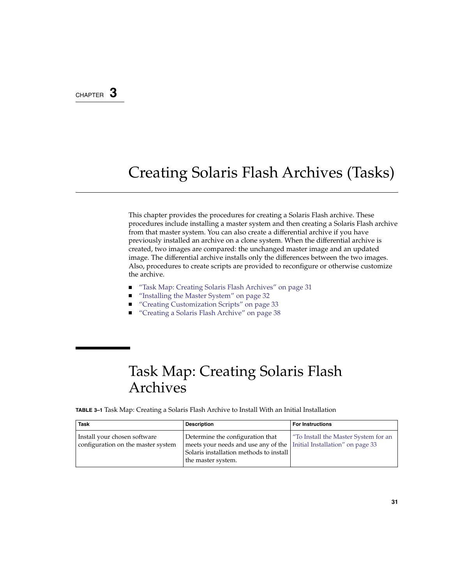### <span id="page-30-0"></span>CHAPTER **3**

## Creating Solaris Flash Archives (Tasks)

This chapter provides the procedures for creating a Solaris Flash archive. These procedures include installing a master system and then creating a Solaris Flash archive from that master system. You can also create a differential archive if you have previously installed an archive on a clone system. When the differential archive is created, two images are compared: the unchanged master image and an updated image. The differential archive installs only the differences between the two images. Also, procedures to create scripts are provided to reconfigure or otherwise customize the archive.

- "Task Map: Creating Solaris Flash Archives" on page 31
- ["Installing the Master System"](#page-31-0) on page 32
- ["Creating Customization Scripts"](#page-32-0) on page 33
- ["Creating a Solaris Flash Archive"](#page-37-0) on page 38

## Task Map: Creating Solaris Flash Archives

**TABLE 3–1** Task Map: Creating a Solaris Flash Archive to Install With an Initial Installation

| <b>Task</b>                                                        | <b>Description</b>                                                                                                                                                          | <b>For Instructions</b>              |
|--------------------------------------------------------------------|-----------------------------------------------------------------------------------------------------------------------------------------------------------------------------|--------------------------------------|
| Install your chosen software<br>configuration on the master system | Determine the configuration that<br>meets your needs and use any of the   Initial Installation" on page 33<br>Solaris installation methods to install<br>the master system. | "To Install the Master System for an |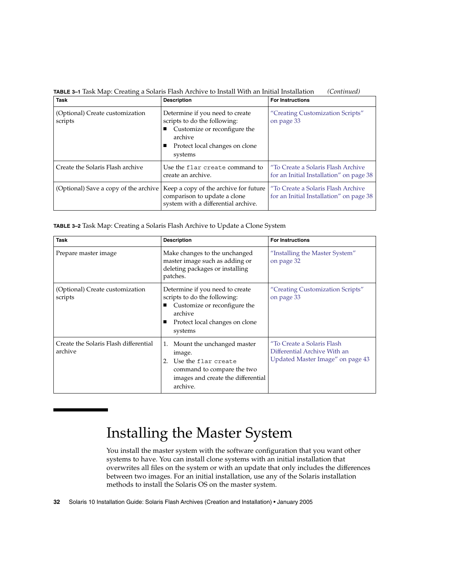| <b>Task</b>                                | <b>Description</b>                                                                                                                                      | <b>For Instructions</b>                                                        |
|--------------------------------------------|---------------------------------------------------------------------------------------------------------------------------------------------------------|--------------------------------------------------------------------------------|
| (Optional) Create customization<br>scripts | Determine if you need to create<br>scripts to do the following:<br>Customize or reconfigure the<br>archive<br>Protect local changes on clone<br>systems | "Creating Customization Scripts"<br>on page 33                                 |
| Create the Solaris Flash archive           | Use the flar create command to<br>create an archive.                                                                                                    | "To Create a Solaris Flash Archive"<br>for an Initial Installation" on page 38 |
| (Optional) Save a copy of the archive      | Keep a copy of the archive for future<br>comparison to update a clone<br>system with a differential archive.                                            | "To Create a Solaris Flash Archive"<br>for an Initial Installation" on page 38 |

<span id="page-31-0"></span>**TABLE 3–1** Task Map: Creating a Solaris Flash Archive to Install With an Initial Installation *(Continued)*

| TABLE 3-2 Task Map: Creating a Solaris Flash Archive to Update a Clone System |  |  |  |
|-------------------------------------------------------------------------------|--|--|--|
|                                                                               |  |  |  |

| <b>Task</b>                                      | <b>Description</b>                                                                                                                                           | <b>For Instructions</b>                                                                        |
|--------------------------------------------------|--------------------------------------------------------------------------------------------------------------------------------------------------------------|------------------------------------------------------------------------------------------------|
| Prepare master image                             | Make changes to the unchanged<br>master image such as adding or<br>deleting packages or installing<br>patches.                                               | "Installing the Master System"<br>on page 32                                                   |
| (Optional) Create customization<br>scripts       | Determine if you need to create<br>scripts to do the following:<br>Customize or reconfigure the<br>archive<br>Protect local changes on clone<br>ш<br>systems | "Creating Customization Scripts"<br>on page 33                                                 |
| Create the Solaris Flash differential<br>archive | Mount the unchanged master<br>1.<br>image.<br>Use the flar create<br>2.<br>command to compare the two<br>images and create the differential<br>archive.      | "To Create a Solaris Flash<br>Differential Archive With an<br>Updated Master Image" on page 43 |

## Installing the Master System

You install the master system with the software configuration that you want other systems to have. You can install clone systems with an initial installation that overwrites all files on the system or with an update that only includes the differences between two images. For an initial installation, use any of the Solaris installation methods to install the Solaris OS on the master system.

**<sup>32</sup>** Solaris 10 Installation Guide: Solaris Flash Archives (Creation and Installation) • January 2005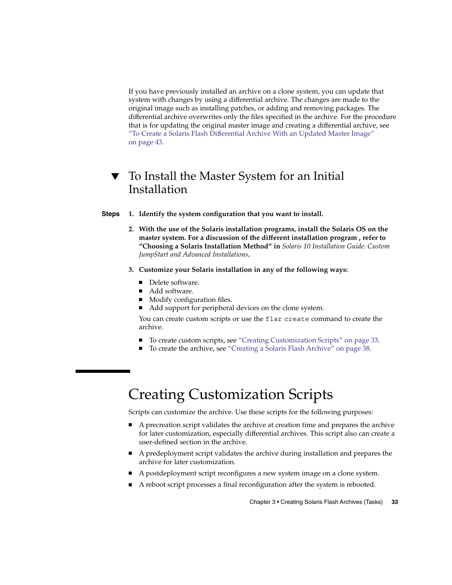<span id="page-32-0"></span>If you have previously installed an archive on a clone system, you can update that system with changes by using a differential archive. The changes are made to the original image such as installing patches, or adding and removing packages. The differential archive overwrites only the files specified in the archive. For the procedure that is for updating the original master image and creating a differential archive, see ["To Create a Solaris Flash Differential Archive With an Updated Master Image"](#page-42-0) [on page 43.](#page-42-0)

### To Install the Master System for an Initial Installation

**1. Identify the system configuration that you want to install. Steps**

> **2. With the use of the Solaris installation programs, install the Solaris OS on the master system. For a discussion of the different installation program , refer to "Choosing a Solaris Installation Method" in** *Solaris 10 Installation Guide: Custom JumpStart and Advanced Installations***.**

#### **3. Customize your Solaris installation in any of the following ways:**

- Delete software.
- Add software.
- Modify configuration files.
- Add support for peripheral devices on the clone system.

You can create custom scripts or use the flar create command to create the archive.

- To create custom scripts, see "Creating Customization Scripts" on page 33.
- To create the archive, see ["Creating a Solaris Flash Archive"](#page-37-0) on page 38.

### Creating Customization Scripts

Scripts can customize the archive. Use these scripts for the following purposes:

- A precreation script validates the archive at creation time and prepares the archive for later customization, especially differential archives. This script also can create a user-defined section in the archive.
- A predeployment script validates the archive during installation and prepares the archive for later customization.
- A postdeployment script reconfigures a new system image on a clone system.
- A reboot script processes a final reconfiguration after the system is rebooted.

Chapter 3 • Creating Solaris Flash Archives (Tasks) **33**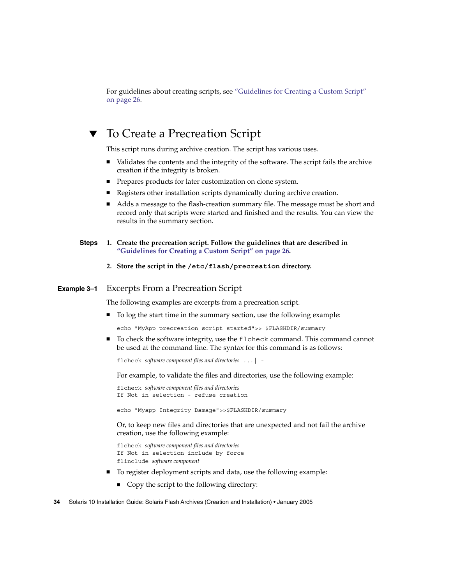<span id="page-33-0"></span>For guidelines about creating scripts, see ["Guidelines for Creating a Custom Script"](#page-25-0) [on page 26.](#page-25-0)

### ▼ To Create a Precreation Script

This script runs during archive creation. The script has various uses.

- Validates the contents and the integrity of the software. The script fails the archive creation if the integrity is broken.
- Prepares products for later customization on clone system.
- Registers other installation scripts dynamically during archive creation.
- Adds a message to the flash-creation summary file. The message must be short and record only that scripts were started and finished and the results. You can view the results in the summary section.
- **1. Create the precreation script. Follow the guidelines that are described in ["Guidelines for Creating a Custom Script"](#page-25-0) on page 26. Steps**
	- **2. Store the script in the /etc/flash/precreation directory.**

#### Excerpts From a Precreation Script **Example 3–1**

The following examples are excerpts from a precreation script.

■ To log the start time in the summary section, use the following example:

echo "MyApp precreation script started">> \$FLASHDIR/summary

■ To check the software integrity, use the flcheck command. This command cannot be used at the command line. The syntax for this command is as follows:

flcheck *software component files and directories* ...| -

For example, to validate the files and directories, use the following example:

flcheck *software component files and directories* If Not in selection - refuse creation

echo "Myapp Integrity Damage">>\$FLASHDIR/summary

Or, to keep new files and directories that are unexpected and not fail the archive creation, use the following example:

flcheck *software component files and directories* If Not in selection include by force flinclude *software component*

- To register deployment scripts and data, use the following example:
	- Copy the script to the following directory:
- **34** Solaris 10 Installation Guide: Solaris Flash Archives (Creation and Installation) January 2005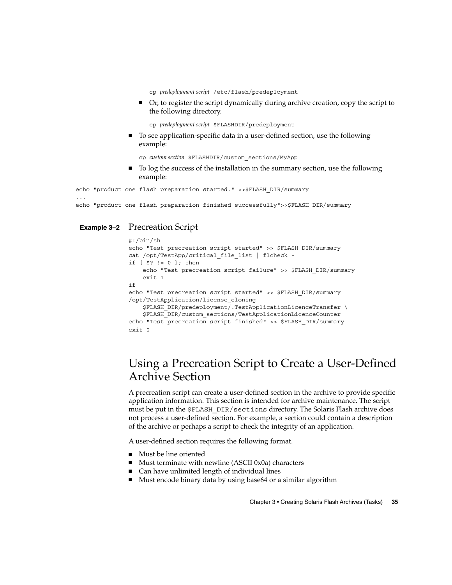cp *predeployment script* /etc/flash/predeployment

<span id="page-34-0"></span>■ Or, to register the script dynamically during archive creation, copy the script to the following directory.

cp *predeployment script* \$FLASHDIR/predeployment

■ To see application-specific data in a user-defined section, use the following example:

cp *custom section* \$FLASHDIR/custom\_sections/MyApp

■ To log the success of the installation in the summary section, use the following example:

echo "product one flash preparation started." >>\$FLASH\_DIR/summary ... echo "product one flash preparation finished successfully">>\$FLASH\_DIR/summary

#### **Example 3–2** Precreation Script

```
#!/bin/sh
echo "Test precreation script started" >> $FLASH_DIR/summary
cat /opt/TestApp/critical_file_list | flcheck -
if [ $? != 0 ]; then
   echo "Test precreation script failure" >> $FLASH_DIR/summary
   exit 1
if
echo "Test precreation script started" >> $FLASH_DIR/summary
/opt/TestApplication/license_cloning
   $FLASH_DIR/predeployment/.TestApplicationLicenceTransfer \
   $FLASH_DIR/custom_sections/TestApplicationLicenceCounter
echo "Test precreation script finished" >> $FLASH_DIR/summary
exit 0
```
### Using a Precreation Script to Create a User-Defined Archive Section

A precreation script can create a user-defined section in the archive to provide specific application information. This section is intended for archive maintenance. The script must be put in the \$FLASH\_DIR/sections directory. The Solaris Flash archive does not process a user-defined section. For example, a section could contain a description of the archive or perhaps a script to check the integrity of an application.

A user-defined section requires the following format.

- Must be line oriented
- Must terminate with newline (ASCII 0x0a) characters
- Can have unlimited length of individual lines
- Must encode binary data by using base64 or a similar algorithm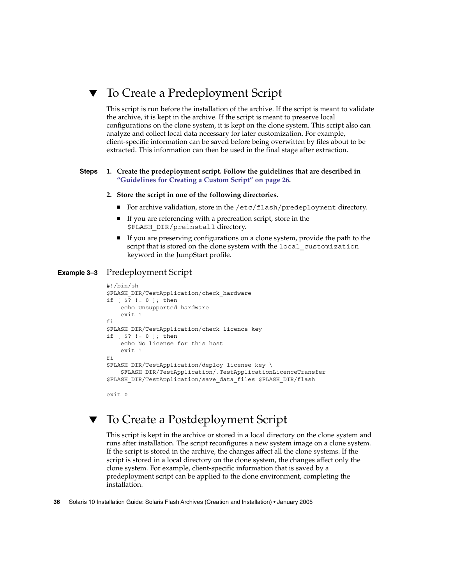### <span id="page-35-0"></span>To Create a Predeployment Script

This script is run before the installation of the archive. If the script is meant to validate the archive, it is kept in the archive. If the script is meant to preserve local configurations on the clone system, it is kept on the clone system. This script also can analyze and collect local data necessary for later customization. For example, client-specific information can be saved before being overwitten by files about to be extracted. This information can then be used in the final stage after extraction.

#### **1. Create the predeployment script. Follow the guidelines that are described in ["Guidelines for Creating a Custom Script"](#page-25-0) on page 26. Steps**

- **2. Store the script in one of the following directories.**
	- For archive validation, store in the /etc/flash/predeployment directory.
	- If you are referencing with a precreation script, store in the \$FLASH\_DIR/preinstall directory.
	- If you are preserving configurations on a clone system, provide the path to the script that is stored on the clone system with the local customization keyword in the JumpStart profile.

#### **Example 3–3** Predeployment Script

```
#!/bin/sh
$FLASH_DIR/TestApplication/check_hardware
if [ $? != 0 ]; then
    echo Unsupported hardware
    exit 1
f_i$FLASH_DIR/TestApplication/check_licence_key
if [ $? := 0 ]; then
    echo No license for this host
    exit 1
fi
$FLASH_DIR/TestApplication/deploy_license_key \
    $FLASH_DIR/TestApplication/.TestApplicationLicenceTransfer
$FLASH_DIR/TestApplication/save_data_files $FLASH_DIR/flash
```
exit 0

### To Create a Postdeployment Script

This script is kept in the archive or stored in a local directory on the clone system and runs after installation. The script reconfigures a new system image on a clone system. If the script is stored in the archive, the changes affect all the clone systems. If the script is stored in a local directory on the clone system, the changes affect only the clone system. For example, client-specific information that is saved by a predeployment script can be applied to the clone environment, completing the installation.

**36** Solaris 10 Installation Guide: Solaris Flash Archives (Creation and Installation) • January 2005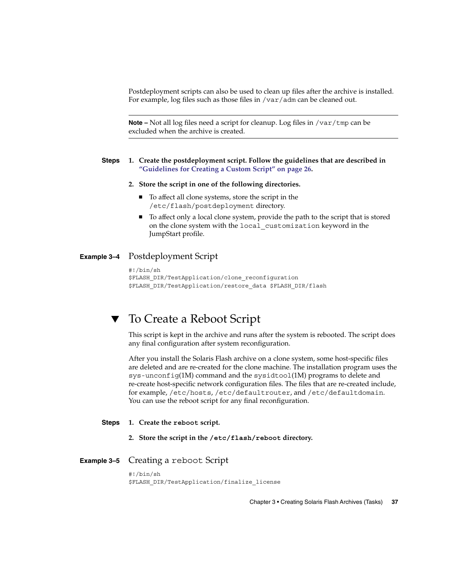Postdeployment scripts can also be used to clean up files after the archive is installed. For example, log files such as those files in /var/adm can be cleaned out.

**Note –** Not all log files need a script for cleanup. Log files in /var/tmp can be excluded when the archive is created.

#### **1. Create the postdeployment script. Follow the guidelines that are described in ["Guidelines for Creating a Custom Script"](#page-25-0) on page 26. Steps**

- **2. Store the script in one of the following directories.**
	- To affect all clone systems, store the script in the /etc/flash/postdeployment directory.
	- To affect only a local clone system, provide the path to the script that is stored on the clone system with the local\_customization keyword in the JumpStart profile.

#### **Example 3–4** Postdeployment Script

```
#!/bin/sh
$FLASH_DIR/TestApplication/clone_reconfiguration
$FLASH_DIR/TestApplication/restore_data $FLASH_DIR/flash
```
### To Create a Reboot Script

This script is kept in the archive and runs after the system is rebooted. The script does any final configuration after system reconfiguration.

After you install the Solaris Flash archive on a clone system, some host-specific files are deleted and are re-created for the clone machine. The installation program uses the sys-unconfig(1M) command and the sysidtool(1M) programs to delete and re-create host-specific network configuration files. The files that are re-created include, for example, /etc/hosts, /etc/defaultrouter, and /etc/defaultdomain. You can use the reboot script for any final reconfiguration.

#### **1. Create the reboot script. Steps**

**2. Store the script in the /etc/flash/reboot directory.**

#### **Example 3-5** Creating a reboot Script

#!/bin/sh \$FLASH\_DIR/TestApplication/finalize\_license

Chapter 3 • Creating Solaris Flash Archives (Tasks) **37**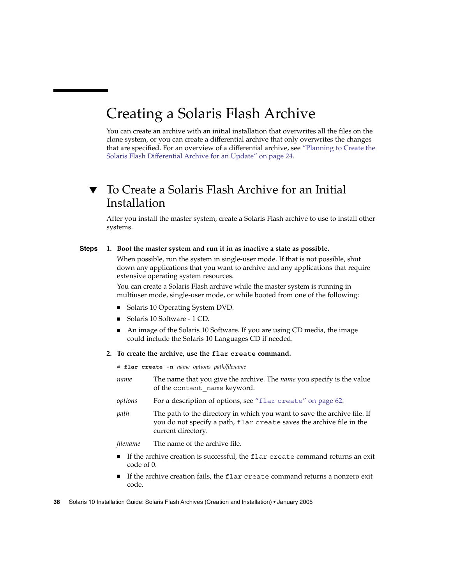## Creating a Solaris Flash Archive

You can create an archive with an initial installation that overwrites all the files on the clone system, or you can create a differential archive that only overwrites the changes that are specified. For an overview of a differential archive, see ["Planning to Create the](#page-23-0) [Solaris Flash Differential Archive for an Update"](#page-23-0) on page 24.

### To Create a Solaris Flash Archive for an Initial Installation

After you install the master system, create a Solaris Flash archive to use to install other systems.

#### **1. Boot the master system and run it in as inactive a state as possible. Steps**

When possible, run the system in single-user mode. If that is not possible, shut down any applications that you want to archive and any applications that require extensive operating system resources.

You can create a Solaris Flash archive while the master system is running in multiuser mode, single-user mode, or while booted from one of the following:

- Solaris 10 Operating System DVD.
- Solaris 10 Software 1 CD.
- An image of the Solaris 10 Software. If you are using CD media, the image could include the Solaris 10 Languages CD if needed.
- **2. To create the archive, use the flar create command.**

# **flar create -n** *name options path/filename*

- *name* The name that you give the archive. The *name* you specify is the value of the content\_name keyword.
- *options* For a description of options, see "[flar create](#page-61-0)" on page 62.
- *path* The path to the directory in which you want to save the archive file. If you do not specify a path, flar create saves the archive file in the current directory.

*filename* The name of the archive file.

- If the archive creation is successful, the flar create command returns an exit code of 0.
- If the archive creation fails, the flar create command returns a nonzero exit code.
- **38** Solaris 10 Installation Guide: Solaris Flash Archives (Creation and Installation) January 2005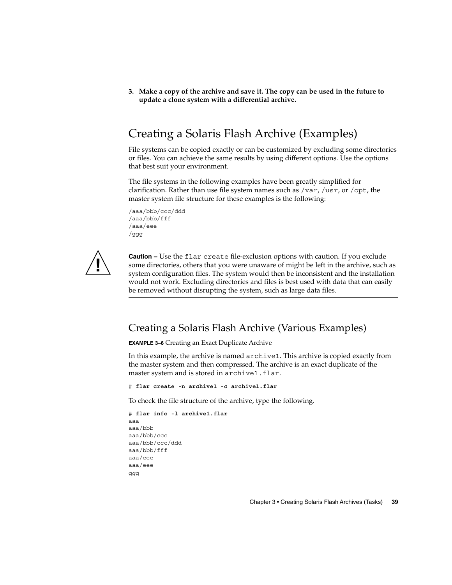**3. Make a copy of the archive and save it. The copy can be used in the future to update a clone system with a differential archive.**

### Creating a Solaris Flash Archive (Examples)

File systems can be copied exactly or can be customized by excluding some directories or files. You can achieve the same results by using different options. Use the options that best suit your environment.

The file systems in the following examples have been greatly simplified for clarification. Rather than use file system names such as /var, /usr, or /opt, the master system file structure for these examples is the following:

```
/aaa/bbb/ccc/ddd
/aaa/bbb/fff
/aaa/eee
/ggg
```


**Caution –** Use the flar create file-exclusion options with caution. If you exclude some directories, others that you were unaware of might be left in the archive, such as system configuration files. The system would then be inconsistent and the installation would not work. Excluding directories and files is best used with data that can easily be removed without disrupting the system, such as large data files.

### Creating a Solaris Flash Archive (Various Examples)

**EXAMPLE 3–6** Creating an Exact Duplicate Archive

In this example, the archive is named archive1. This archive is copied exactly from the master system and then compressed. The archive is an exact duplicate of the master system and is stored in archive1.flar.

```
# flar create -n archive1 -c archive1.flar
```
To check the file structure of the archive, type the following.

```
# flar info -l archive1.flar
aaa
aaa/bbb
aaa/bbb/ccc
aaa/bbb/ccc/ddd
aaa/bbb/fff
aaa/eee
aaa/eee
ggg
```
Chapter 3 • Creating Solaris Flash Archives (Tasks) **39**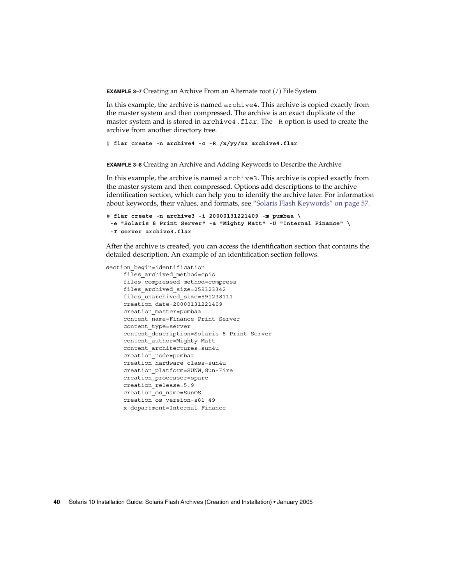<span id="page-39-0"></span>**EXAMPLE 3–7** Creating an Archive From an Alternate root (/) File System

In this example, the archive is named archive4. This archive is copied exactly from the master system and then compressed. The archive is an exact duplicate of the master system and is stored in archive4.flar. The -R option is used to create the archive from another directory tree.

```
# flar create -n archive4 -c -R /x/yy/zz archive4.flar
```
**EXAMPLE 3–8** Creating an Archive and Adding Keywords to Describe the Archive

In this example, the archive is named archive3. This archive is copied exactly from the master system and then compressed. Options add descriptions to the archive identification section, which can help you to identify the archive later. For information about keywords, their values, and formats, see ["Solaris Flash Keywords"](#page-56-0) on page 57.

```
# flar create -n archive3 -i 20000131221409 -m pumbaa \
-e "Solaris 8 Print Server" -a "Mighty Matt" -U "Internal Finance" \
-T server archive3.flar
```
After the archive is created, you can access the identification section that contains the detailed description. An example of an identification section follows.

```
section begin=identification
     files archived method=cpio
     files_compressed_method=compress
    files_archived_size=259323342
    files_unarchived_size=591238111
     creation_date=20000131221409
     creation_master=pumbaa
    content_name=Finance Print Server
    content_type=server
    content_description=Solaris 8 Print Server
    content_author=Mighty Matt
    content_architectures=sun4u
    creation_node=pumbaa
    creation_hardware_class=sun4u
    creation_platform=SUNW,Sun-Fire
     creation_processor=sparc
    creation_release=5.9
    creation_os_name=SunOS
    creation_os_version=s81_49
     x-department=Internal Finance
```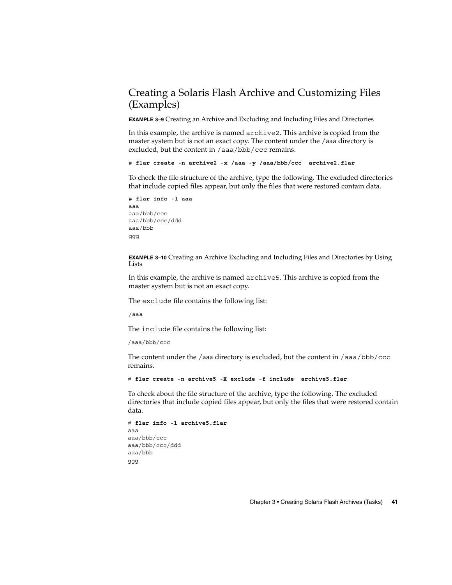### Creating a Solaris Flash Archive and Customizing Files (Examples)

**EXAMPLE 3–9** Creating an Archive and Excluding and Including Files and Directories

In this example, the archive is named archive2. This archive is copied from the master system but is not an exact copy. The content under the /aaa directory is excluded, but the content in /aaa/bbb/ccc remains.

# **flar create -n archive2 -x /aaa -y /aaa/bbb/ccc archive2.flar**

To check the file structure of the archive, type the following. The excluded directories that include copied files appear, but only the files that were restored contain data.

```
# flar info -l aaa
aaa
aaa/bbb/ccc
aaa/bbb/ccc/ddd
aaa/bbb
gga
```
**EXAMPLE 3–10** Creating an Archive Excluding and Including Files and Directories by Using Lists

In this example, the archive is named archive5. This archive is copied from the master system but is not an exact copy.

The exclude file contains the following list:

/aaa

The include file contains the following list:

/aaa/bbb/ccc

The content under the /aaa directory is excluded, but the content in /aaa/bbb/ccc remains.

# **flar create -n archive5 -X exclude -f include archive5.flar**

To check about the file structure of the archive, type the following. The excluded directories that include copied files appear, but only the files that were restored contain data.

```
# flar info -l archive5.flar
aaa
aaa/bbb/ccc
aaa/bbb/ccc/ddd
aaa/bbb
ggg
```
Chapter 3 • Creating Solaris Flash Archives (Tasks) **41**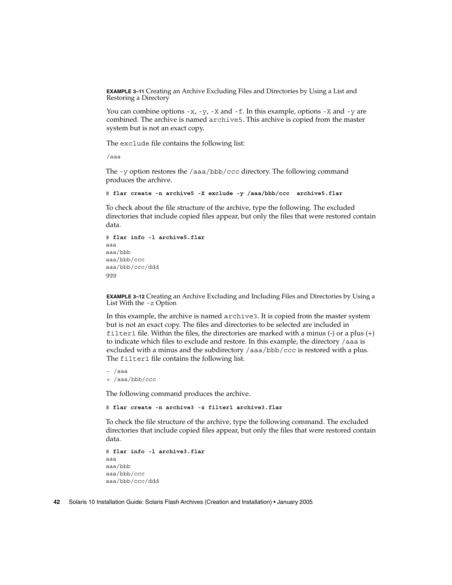**EXAMPLE 3–11** Creating an Archive Excluding Files and Directories by Using a List and Restoring a Directory

You can combine options  $-x$ ,  $-y$ ,  $-x$  and  $-f$ . In this example, options  $-x$  and  $-y$  are combined. The archive is named archive5. This archive is copied from the master system but is not an exact copy.

The exclude file contains the following list:

/aaa

The -y option restores the  $/aaa/bbb/ccc$  directory. The following command produces the archive.

# **flar create -n archive5 -X exclude -y /aaa/bbb/ccc archive5.flar**

To check about the file structure of the archive, type the following. The excluded directories that include copied files appear, but only the files that were restored contain data.

```
# flar info -l archive5.flar
aaa
aaa/bbb
aaa/bbb/ccc
aaa/bbb/ccc/ddd
qgg
```
**EXAMPLE 3–12** Creating an Archive Excluding and Including Files and Directories by Using a List With the -z Option

In this example, the archive is named archive3. It is copied from the master system but is not an exact copy. The files and directories to be selected are included in filter1 file. Within the files, the directories are marked with a minus  $(-)$  or a plus  $(+)$ to indicate which files to exclude and restore. In this example, the directory /aaa is excluded with a minus and the subdirectory /aaa/bbb/ccc is restored with a plus. The filter1 file contains the following list.

```
- /aaa
+ /aaa/bbb/ccc
```
The following command produces the archive.

# **flar create -n archive3 -z filter1 archive3.flar**

To check the file structure of the archive, type the following command. The excluded directories that include copied files appear, but only the files that were restored contain data.

```
# flar info -l archive3.flar
aaa
aaa/bbb
aaa/bbb/ccc
aaa/bbb/ccc/ddd
```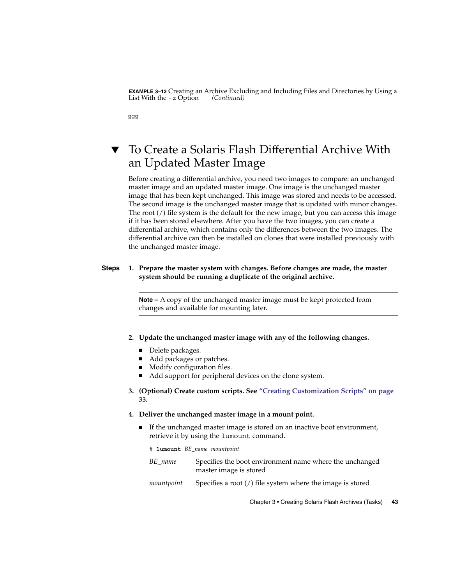**EXAMPLE 3-12** Creating an Archive Excluding and Including Files and Directories by Using a List With the -z Option (Continued) List With the -z Option

ggg

### To Create a Solaris Flash Differential Archive With an Updated Master Image

Before creating a differential archive, you need two images to compare: an unchanged master image and an updated master image. One image is the unchanged master image that has been kept unchanged. This image was stored and needs to be accessed. The second image is the unchanged master image that is updated with minor changes. The root (/) file system is the default for the new image, but you can access this image if it has been stored elsewhere. After you have the two images, you can create a differential archive, which contains only the differences between the two images. The differential archive can then be installed on clones that were installed previously with the unchanged master image.

#### **1. Prepare the master system with changes. Before changes are made, the master system should be running a duplicate of the original archive. Steps**

**Note –** A copy of the unchanged master image must be kept protected from changes and available for mounting later.

- **2. Update the unchanged master image with any of the following changes.**
	- Delete packages.
	- Add packages or patches.
	- Modify configuration files.
	- Add support for peripheral devices on the clone system.
- **3. (Optional) Create custom scripts. See ["Creating Customization Scripts"](#page-32-0) on page [33.](#page-32-0)**
- **4. Deliver the unchanged master image in a mount point.**
	- If the unchanged master image is stored on an inactive boot environment, retrieve it by using the lumount command.

# **lumount** *BE\_name mountpoint*

- *BE\_name* Specifies the boot environment name where the unchanged master image is stored
- *mountpoint* Specifies a root (/) file system where the image is stored

Chapter 3 • Creating Solaris Flash Archives (Tasks) **43**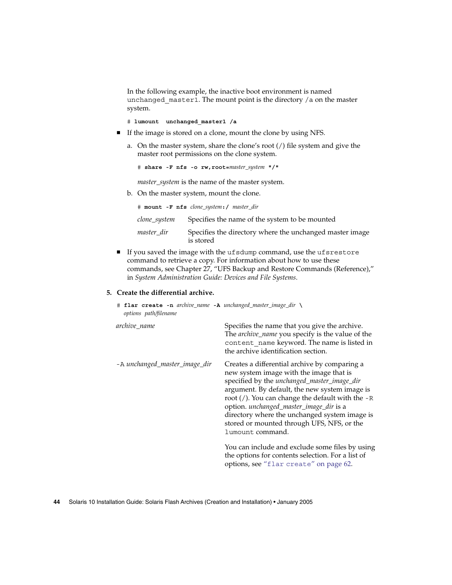In the following example, the inactive boot environment is named unchanged master1. The mount point is the directory  $/$  a on the master system.

# **lumount unchanged\_master1 /a**

- If the image is stored on a clone, mount the clone by using NFS.
	- a. On the master system, share the clone's root (/) file system and give the master root permissions on the clone system.

# **share -F nfs -o rw,root=***master\_system* **"/"**

*master\_system* is the name of the master system.

b. On the master system, mount the clone.

# **mount -F nfs** *clone\_system***:/** *master\_dir clone\_system* Specifies the name of the system to be mounted

| $\mu$      | opecutes the name of the system to be mounted                         |
|------------|-----------------------------------------------------------------------|
| master dir | Specifies the directory where the unchanged master image<br>is stored |

■ If you saved the image with the ufsdump command, use the ufsrestore command to retrieve a copy. For information about how to use these commands, see Chapter 27, "UFS Backup and Restore Commands (Reference)," in *System Administration Guide: Devices and File Systems*.

#### **5. Create the differential archive.**

# **flar create -n** *archive\_name* **-A** *unchanged\_master\_image\_dir* **\** *options path/filename archive\_name* Specifies the name that you give the archive. The *archive\_name* you specify is the value of the content\_name keyword. The name is listed in the archive identification section. -A *unchanged\_master\_image\_dir* Creates a differential archive by comparing a new system image with the image that is specified by the *unchanged\_master\_image\_dir* argument. By default, the new system image is root (/). You can change the default with the -R option. *unchanged\_master\_image\_dir* is a directory where the unchanged system image is stored or mounted through UFS, NFS, or the lumount command. You can include and exclude some files by using the options for contents selection. For a list of options, see "[flar create](#page-61-0)" on page 62.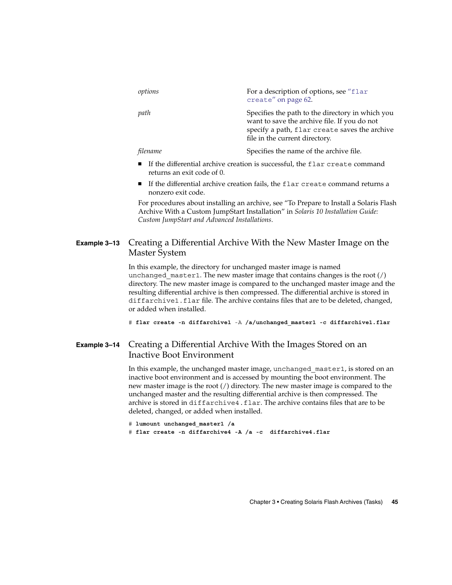| options  | For a description of options, see "flar<br>create" on page 62.                                                                                                                      |
|----------|-------------------------------------------------------------------------------------------------------------------------------------------------------------------------------------|
| path     | Specifies the path to the directory in which you<br>want to save the archive file. If you do not<br>specify a path, flar create saves the archive<br>file in the current directory. |
| filename | Specifies the name of the archive file.                                                                                                                                             |

- If the differential archive creation is successful, the  $f$ lar create command returns an exit code of 0.
- If the differential archive creation fails, the flar create command returns a nonzero exit code.

For procedures about installing an archive, see "To Prepare to Install a Solaris Flash Archive With a Custom JumpStart Installation" in *Solaris 10 Installation Guide: Custom JumpStart and Advanced Installations*.

#### Creating a Differential Archive With the New Master Image on the Master System **Example 3–13**

In this example, the directory for unchanged master image is named unchanged master1. The new master image that contains changes is the root  $\langle / \rangle$ directory. The new master image is compared to the unchanged master image and the resulting differential archive is then compressed. The differential archive is stored in diffarchive1.flar file. The archive contains files that are to be deleted, changed, or added when installed.

# **flar create -n diffarchive1** -A **/a/unchanged\_master1 -c diffarchive1.flar**

#### Creating a Differential Archive With the Images Stored on an Inactive Boot Environment **Example 3–14**

In this example, the unchanged master image, unchanged\_master1, is stored on an inactive boot environment and is accessed by mounting the boot environment. The new master image is the root  $\left(\frac{1}{2}\right)$  directory. The new master image is compared to the unchanged master and the resulting differential archive is then compressed. The archive is stored in diffarchive4.flar. The archive contains files that are to be deleted, changed, or added when installed.

```
# lumount unchanged_master1 /a
# flar create -n diffarchive4 -A /a -c diffarchive4.flar
```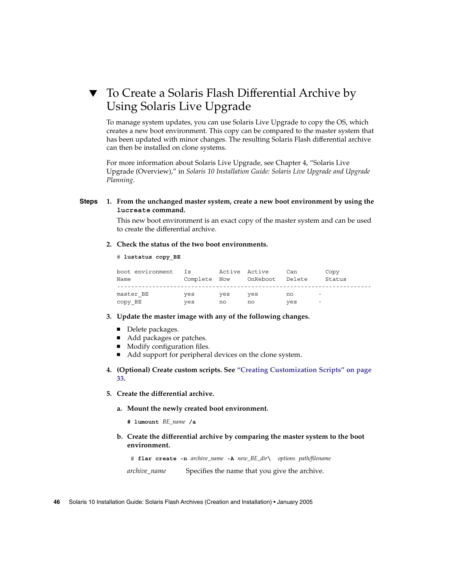### ▼ To Create a Solaris Flash Differential Archive by Using Solaris Live Upgrade

To manage system updates, you can use Solaris Live Upgrade to copy the OS, which creates a new boot environment. This copy can be compared to the master system that has been updated with minor changes. The resulting Solaris Flash differential archive can then be installed on clone systems.

For more information about Solaris Live Upgrade, see Chapter 4, "Solaris Live Upgrade (Overview)," in *Solaris 10 Installation Guide: Solaris Live Upgrade and Upgrade Planning*.

#### **1. From the unchanged master system, create a new boot environment by using the lucreate command. Steps**

This new boot environment is an exact copy of the master system and can be used to create the differential archive.

- **2. Check the status of the two boot environments.**
	- # **lustatus copy\_BE**

| Name                               | Complete Now | OnReboot  | Delete                                                            | Status |
|------------------------------------|--------------|-----------|-------------------------------------------------------------------|--------|
| master BE<br>yes<br>copy BE<br>yes | ves<br>no    | ves<br>no | no<br>$\overline{\phantom{a}}$<br>yes<br>$\overline{\phantom{0}}$ |        |

- **3. Update the master image with any of the following changes.**
	- Delete packages.
	- Add packages or patches.
	- Modify configuration files.
	- Add support for peripheral devices on the clone system.
- **4. (Optional) Create custom scripts. See ["Creating Customization Scripts"](#page-32-0) on page [33.](#page-32-0)**
- **5. Create the differential archive.**
	- **a. Mount the newly created boot environment.**
		- **# lumount** *BE\_name* **/a**
	- **b. Create the differential archive by comparing the master system to the boot environment.**

# **flar create -n** *archive\_name* **-A** *new\_BE\_dir***\** *options path/filename archive\_name* Specifies the name that you give the archive.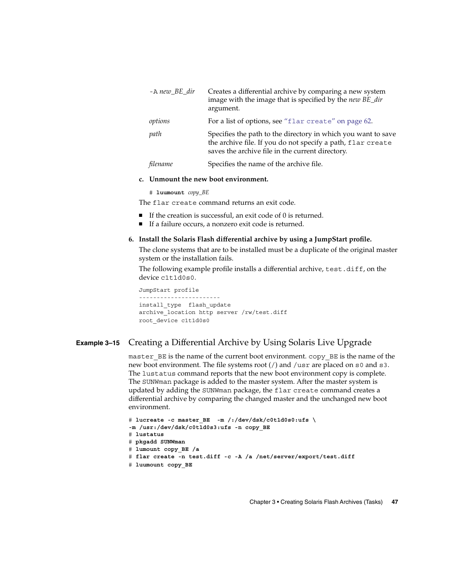| -A new_BE_dir | Creates a differential archive by comparing a new system<br>image with the image that is specified by the new BE_dir<br>argument.                                                |
|---------------|----------------------------------------------------------------------------------------------------------------------------------------------------------------------------------|
| options       | For a list of options, see "flar create" on page 62.                                                                                                                             |
| path          | Specifies the path to the directory in which you want to save<br>the archive file. If you do not specify a path, flar create<br>saves the archive file in the current directory. |
| filename      | Specifies the name of the archive file.                                                                                                                                          |

#### **c. Unmount the new boot environment.**

# **luumount** *copy\_BE*

The flar create command returns an exit code.

- If the creation is successful, an exit code of 0 is returned.
- If a failure occurs, a nonzero exit code is returned.

#### **6. Install the Solaris Flash differential archive by using a JumpStart profile.**

The clone systems that are to be installed must be a duplicate of the original master system or the installation fails.

The following example profile installs a differential archive, test.diff, on the device c1t1d0s0.

```
JumpStart profile
-----------------------
install_type flash_update
archive location http server /rw/test.diff
root_device c1t1d0s0
```
#### **Example 3–15** Creating a Differential Archive by Using Solaris Live Upgrade

master BE is the name of the current boot environment. copy BE is the name of the new boot environment. The file systems root (/) and /usr are placed on s0 and s3. The lustatus command reports that the new boot environment copy is complete. The SUNWman package is added to the master system. After the master system is updated by adding the SUNWman package, the flar create command creates a differential archive by comparing the changed master and the unchanged new boot environment.

```
# lucreate -c master_BE -m /:/dev/dsk/c0t1d0s0:ufs \
-m /usr:/dev/dsk/c0t1d0s3:ufs -n copy_BE
# lustatus
# pkgadd SUNWman
# lumount copy_BE /a
# flar create -n test.diff -c -A /a /net/server/export/test.diff
# luumount copy_BE
```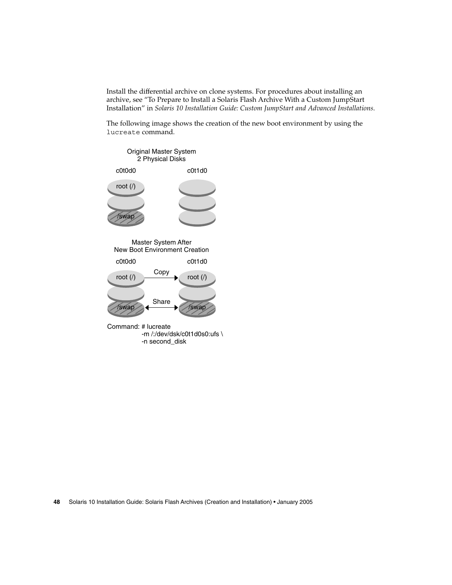Install the differential archive on clone systems. For procedures about installing an archive, see "To Prepare to Install a Solaris Flash Archive With a Custom JumpStart Installation" in *Solaris 10 Installation Guide: Custom JumpStart and Advanced Installations*.

The following image shows the creation of the new boot environment by using the lucreate command.

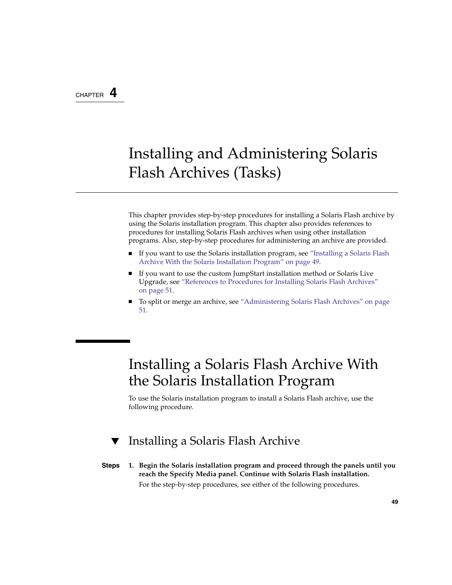#### <span id="page-48-0"></span>CHAPTER **4**

## Installing and Administering Solaris Flash Archives (Tasks)

This chapter provides step-by-step procedures for installing a Solaris Flash archive by using the Solaris installation program. This chapter also provides references to procedures for installing Solaris Flash archives when using other installation programs. Also, step-by-step procedures for administering an archive are provided.

- If you want to use the Solaris installation program, see "Installing a Solaris Flash Archive With the Solaris Installation Program" on page 49.
- If you want to use the custom JumpStart installation method or Solaris Live Upgrade, see ["References to Procedures for Installing Solaris Flash Archives"](#page-50-0) [on page 51.](#page-50-0)
- To split or merge an archive, see ["Administering Solaris Flash Archives"](#page-50-0) on page [51.](#page-50-0)

## Installing a Solaris Flash Archive With the Solaris Installation Program

To use the Solaris installation program to install a Solaris Flash archive, use the following procedure.



**1. Begin the Solaris installation program and proceed through the panels until you reach the Specify Media panel. Continue with Solaris Flash installation.** For the step-by-step procedures, see either of the following procedures. **Steps**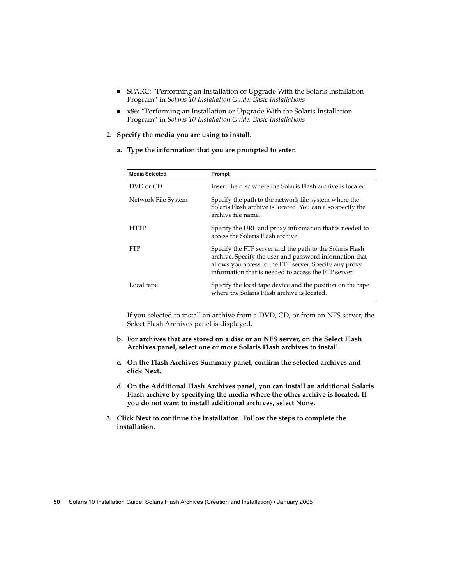- SPARC: "Performing an Installation or Upgrade With the Solaris Installation Program" in *Solaris 10 Installation Guide: Basic Installations*
- x86: "Performing an Installation or Upgrade With the Solaris Installation Program" in *Solaris 10 Installation Guide: Basic Installations*
- **2. Specify the media you are using to install.**
	- **a. Type the information that you are prompted to enter.**

| <b>Media Selected</b> | Prompt                                                                                                                                                                                                                                |
|-----------------------|---------------------------------------------------------------------------------------------------------------------------------------------------------------------------------------------------------------------------------------|
| DVD or CD             | Insert the disc where the Solaris Flash archive is located.                                                                                                                                                                           |
| Network File System   | Specify the path to the network file system where the<br>Solaris Flash archive is located. You can also specify the<br>archive file name.                                                                                             |
| <b>HTTP</b>           | Specify the URL and proxy information that is needed to<br>access the Solaris Flash archive.                                                                                                                                          |
| <b>FTP</b>            | Specify the FTP server and the path to the Solaris Flash<br>archive. Specify the user and password information that<br>allows you access to the FTP server. Specify any proxy<br>information that is needed to access the FTP server. |
| Local tape            | Specify the local tape device and the position on the tape<br>where the Solaris Flash archive is located.                                                                                                                             |

If you selected to install an archive from a DVD, CD, or from an NFS server, the Select Flash Archives panel is displayed.

- **b. For archives that are stored on a disc or an NFS server, on the Select Flash Archives panel, select one or more Solaris Flash archives to install.**
- **c. On the Flash Archives Summary panel, confirm the selected archives and click Next.**
- **d. On the Additional Flash Archives panel, you can install an additional Solaris Flash archive by specifying the media where the other archive is located. If you do not want to install additional archives, select None.**
- **3. Click Next to continue the installation. Follow the steps to complete the installation.**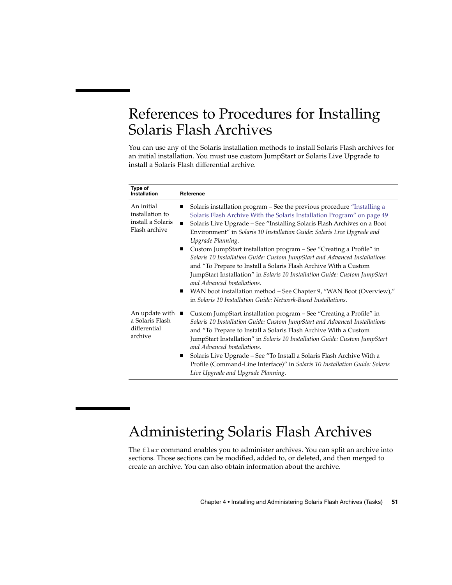## <span id="page-50-0"></span>References to Procedures for Installing Solaris Flash Archives

You can use any of the Solaris installation methods to install Solaris Flash archives for an initial installation. You must use custom JumpStart or Solaris Live Upgrade to install a Solaris Flash differential archive.

| Type of<br>Installation                                                     | Reference                                                                                                                                                                                                                                                                                                                                                                                                                                                                                                                                                                                                                                                                                                                                                                                                                                         |
|-----------------------------------------------------------------------------|---------------------------------------------------------------------------------------------------------------------------------------------------------------------------------------------------------------------------------------------------------------------------------------------------------------------------------------------------------------------------------------------------------------------------------------------------------------------------------------------------------------------------------------------------------------------------------------------------------------------------------------------------------------------------------------------------------------------------------------------------------------------------------------------------------------------------------------------------|
| An initial<br>installation to<br>install a Solaris<br>Flash archive         | Solaris installation program - See the previous procedure "Installing a<br>Solaris Flash Archive With the Solaris Installation Program" on page 49<br>Solaris Live Upgrade - See "Installing Solaris Flash Archives on a Boot<br>Environment" in Solaris 10 Installation Guide: Solaris Live Upgrade and<br>Upgrade Planning.<br>Custom JumpStart installation program – See "Creating a Profile" in<br>$\blacksquare$<br>Solaris 10 Installation Guide: Custom JumpStart and Advanced Installations<br>and "To Prepare to Install a Solaris Flash Archive With a Custom<br>JumpStart Installation" in Solaris 10 Installation Guide: Custom JumpStart<br>and Advanced Installations.<br>WAN boot installation method - See Chapter 9, "WAN Boot (Overview),"<br>$\blacksquare$<br>in Solaris 10 Installation Guide: Network-Based Installations. |
| An update with $\blacksquare$<br>a Solaris Flash<br>differential<br>archive | Custom JumpStart installation program - See "Creating a Profile" in<br>Solaris 10 Installation Guide: Custom JumpStart and Advanced Installations<br>and "To Prepare to Install a Solaris Flash Archive With a Custom<br>JumpStart Installation" in Solaris 10 Installation Guide: Custom JumpStart<br>and Advanced Installations.<br>Solaris Live Upgrade – See "To Install a Solaris Flash Archive With a<br>$\blacksquare$<br>Profile (Command-Line Interface)" in Solaris 10 Installation Guide: Solaris<br>Live Upgrade and Upgrade Planning.                                                                                                                                                                                                                                                                                                |

## Administering Solaris Flash Archives

The flar command enables you to administer archives. You can split an archive into sections. Those sections can be modified, added to, or deleted, and then merged to create an archive. You can also obtain information about the archive.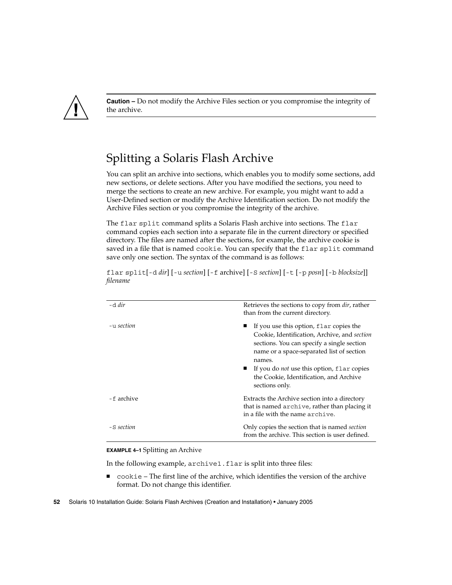

**Caution –** Do not modify the Archive Files section or you compromise the integrity of the archive.

## Splitting a Solaris Flash Archive

You can split an archive into sections, which enables you to modify some sections, add new sections, or delete sections. After you have modified the sections, you need to merge the sections to create an new archive. For example, you might want to add a User-Defined section or modify the Archive Identification section. Do not modify the Archive Files section or you compromise the integrity of the archive.

The flar split command splits a Solaris Flash archive into sections. The flar command copies each section into a separate file in the current directory or specified directory. The files are named after the sections, for example, the archive cookie is saved in a file that is named cookie. You can specify that the flar split command save only one section. The syntax of the command is as follows:

| $-d dir$   | Retrieves the sections to copy from dir, rather<br>than from the current directory.                                                                                                                                                                                                                            |
|------------|----------------------------------------------------------------------------------------------------------------------------------------------------------------------------------------------------------------------------------------------------------------------------------------------------------------|
| -u section | If you use this option, flar copies the<br>Cookie, Identification, Archive, and section<br>sections. You can specify a single section<br>name or a space-separated list of section<br>names.<br>If you do <i>not</i> use this option, flar copies<br>the Cookie, Identification, and Archive<br>sections only. |
| -f archive | Extracts the Archive section into a directory<br>that is named archive, rather than placing it<br>in a file with the name archive.                                                                                                                                                                             |
| -S section | Only copies the section that is named section<br>from the archive. This section is user defined.                                                                                                                                                                                                               |

flar split[-d *dir*] [-u *section*] [-f archive] [-S *section*] [-t [-p *posn*] [-b *blocksize*]] *filename*

#### **EXAMPLE 4–1** Splitting an Archive

In the following example, archive1.flar is split into three files:

- cookie The first line of the archive, which identifies the version of the archive format. Do not change this identifier.
- **52** Solaris 10 Installation Guide: Solaris Flash Archives (Creation and Installation) January 2005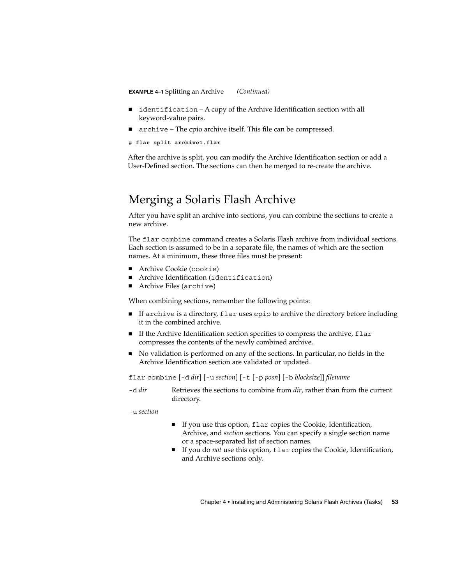**EXAMPLE 4–1** Splitting an Archive *(Continued)*

- identification A copy of the Archive Identification section with all keyword-value pairs.
- archive The cpio archive itself. This file can be compressed.

```
# flar split archive1.flar
```
After the archive is split, you can modify the Archive Identification section or add a User-Defined section. The sections can then be merged to re-create the archive.

### Merging a Solaris Flash Archive

After you have split an archive into sections, you can combine the sections to create a new archive.

The flar combine command creates a Solaris Flash archive from individual sections. Each section is assumed to be in a separate file, the names of which are the section names. At a minimum, these three files must be present:

- Archive Cookie (cookie)
- Archive Identification (identification)
- Archive Files (archive)

When combining sections, remember the following points:

- If archive is a directory, flar uses cpio to archive the directory before including it in the combined archive.
- If the Archive Identification section specifies to compress the archive, flar compresses the contents of the newly combined archive.
- No validation is performed on any of the sections. In particular, no fields in the Archive Identification section are validated or updated.

flar combine [-d *dir*] [-u *section*] [-t [-p *posn*] [-b *blocksize*]] *filename*

-d *dir* Retrieves the sections to combine from *dir*, rather than from the current directory.

-u *section*

- If you use this option, flar copies the Cookie, Identification, Archive, and *section* sections. You can specify a single section name or a space-separated list of section names.
- If you do *not* use this option, flar copies the Cookie, Identification, and Archive sections only.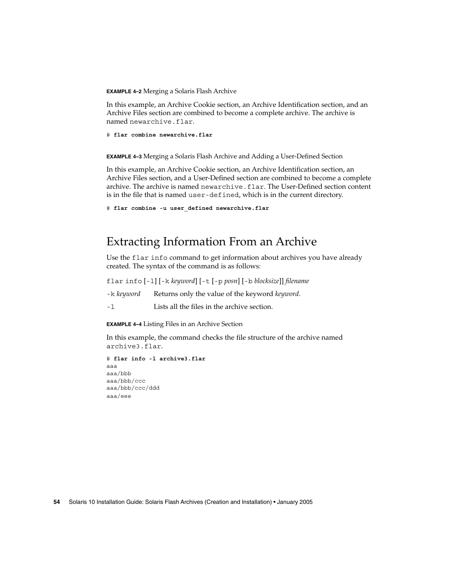**EXAMPLE 4–2** Merging a Solaris Flash Archive

In this example, an Archive Cookie section, an Archive Identification section, and an Archive Files section are combined to become a complete archive. The archive is named newarchive.flar.

# **flar combine newarchive.flar**

**EXAMPLE 4–3** Merging a Solaris Flash Archive and Adding a User-Defined Section

In this example, an Archive Cookie section, an Archive Identification section, an Archive Files section, and a User-Defined section are combined to become a complete archive. The archive is named newarchive.flar. The User-Defined section content is in the file that is named user-defined, which is in the current directory.

```
# flar combine -u user_defined newarchive.flar
```
## Extracting Information From an Archive

Use the flar info command to get information about archives you have already created. The syntax of the command is as follows:

flar info [-l] [-k *keyword*] [-t [-p *posn*] [-b *blocksize*]] *filename*

-k *keyword* Returns only the value of the keyword *keyword*.

-l Lists all the files in the archive section.

**EXAMPLE 4–4** Listing Files in an Archive Section

In this example, the command checks the file structure of the archive named archive3.flar.

# **flar info -l archive3.flar** aaa aaa/bbb aaa/bbb/ccc aaa/bbb/ccc/ddd aaa/eee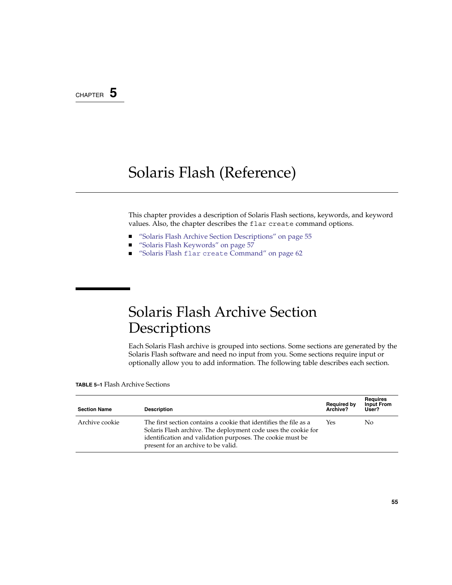### CHAPTER **5**

## Solaris Flash (Reference)

This chapter provides a description of Solaris Flash sections, keywords, and keyword values. Also, the chapter describes the flar create command options.

- "Solaris Flash Archive Section Descriptions" on page 55
- ["Solaris Flash Keywords"](#page-56-0) on page 57
- "Solaris Flash [flar create](#page-61-0) Command" on page 62

## Solaris Flash Archive Section **Descriptions**

Each Solaris Flash archive is grouped into sections. Some sections are generated by the Solaris Flash software and need no input from you. Some sections require input or optionally allow you to add information. The following table describes each section.

**TABLE 5–1** Flash Archive Sections

| <b>Section Name</b> | <b>Description</b>                                                                                                                                                                                                                       | <b>Required by</b><br>Archive? | <b>Requires</b><br><b>Input From</b><br>User? |
|---------------------|------------------------------------------------------------------------------------------------------------------------------------------------------------------------------------------------------------------------------------------|--------------------------------|-----------------------------------------------|
| Archive cookie      | The first section contains a cookie that identifies the file as a<br>Solaris Flash archive. The deployment code uses the cookie for<br>identification and validation purposes. The cookie must be<br>present for an archive to be valid. | Yes                            | No                                            |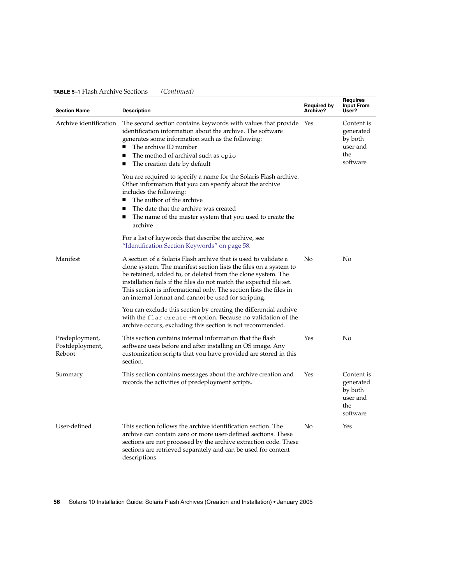| <b>TABLE 5–1</b> Flash Archive Sections | (Continued) |
|-----------------------------------------|-------------|
|-----------------------------------------|-------------|

| <b>Section Name</b>                         | <b>Description</b>                                                                                                                                                                                                                                                                                                                                                                                        | <b>Required by</b><br>Archive? | <b>Requires</b><br><b>Input From</b><br>User?                     |
|---------------------------------------------|-----------------------------------------------------------------------------------------------------------------------------------------------------------------------------------------------------------------------------------------------------------------------------------------------------------------------------------------------------------------------------------------------------------|--------------------------------|-------------------------------------------------------------------|
| Archive identification                      | The second section contains keywords with values that provide Yes<br>identification information about the archive. The software<br>generates some information such as the following:<br>The archive ID number<br>п<br>п<br>The method of archival such as cpio<br>The creation date by default<br>п                                                                                                       |                                | Content is<br>generated<br>by both<br>user and<br>the<br>software |
|                                             | You are required to specify a name for the Solaris Flash archive.<br>Other information that you can specify about the archive<br>includes the following:<br>The author of the archive<br>п<br>The date that the archive was created<br>п<br>The name of the master system that you used to create the<br>п<br>archive                                                                                     |                                |                                                                   |
|                                             | For a list of keywords that describe the archive, see<br>"Identification Section Keywords" on page 58.                                                                                                                                                                                                                                                                                                    |                                |                                                                   |
| Manifest                                    | A section of a Solaris Flash archive that is used to validate a<br>clone system. The manifest section lists the files on a system to<br>be retained, added to, or deleted from the clone system. The<br>installation fails if the files do not match the expected file set.<br>This section is informational only. The section lists the files in<br>an internal format and cannot be used for scripting. | No                             | No                                                                |
|                                             | You can exclude this section by creating the differential archive<br>with the flar create -M option. Because no validation of the<br>archive occurs, excluding this section is not recommended.                                                                                                                                                                                                           |                                |                                                                   |
| Predeployment,<br>Postdeployment,<br>Reboot | This section contains internal information that the flash<br>software uses before and after installing an OS image. Any<br>customization scripts that you have provided are stored in this<br>section.                                                                                                                                                                                                    | Yes                            | No                                                                |
| Summary                                     | This section contains messages about the archive creation and<br>records the activities of predeployment scripts.                                                                                                                                                                                                                                                                                         | Yes                            | Content is<br>generated<br>by both<br>user and<br>the<br>software |
| User-defined                                | This section follows the archive identification section. The<br>archive can contain zero or more user-defined sections. These<br>sections are not processed by the archive extraction code. These<br>sections are retrieved separately and can be used for content<br>descriptions.                                                                                                                       | No                             | Yes                                                               |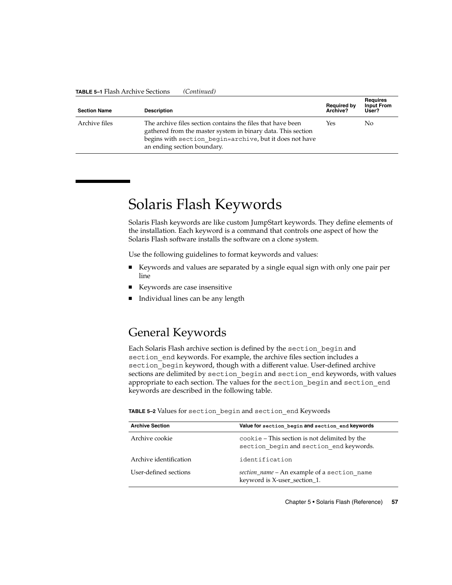<span id="page-56-0"></span>

| <b>Section Name</b> | <b>Description</b>                                                                                                                                                                                                    | <b>Required by</b><br>Archive? | <b>Requires</b><br><b>Input From</b><br>User? |
|---------------------|-----------------------------------------------------------------------------------------------------------------------------------------------------------------------------------------------------------------------|--------------------------------|-----------------------------------------------|
| Archive files       | The archive files section contains the files that have been<br>gathered from the master system in binary data. This section<br>begins with section begin=archive, but it does not have<br>an ending section boundary. | Yes                            | No.                                           |

## Solaris Flash Keywords

Solaris Flash keywords are like custom JumpStart keywords. They define elements of the installation. Each keyword is a command that controls one aspect of how the Solaris Flash software installs the software on a clone system.

Use the following guidelines to format keywords and values:

- Keywords and values are separated by a single equal sign with only one pair per line
- Keywords are case insensitive
- Individual lines can be any length

### General Keywords

Each Solaris Flash archive section is defined by the section\_begin and section end keywords. For example, the archive files section includes a section\_begin keyword, though with a different value. User-defined archive sections are delimited by section\_begin and section\_end keywords, with values appropriate to each section. The values for the section\_begin and section\_end keywords are described in the following table.

**TABLE 5–2** Values for section\_begin and section\_end Keywords

| <b>Archive Section</b> | Value for section begin and section end keywords                                         |
|------------------------|------------------------------------------------------------------------------------------|
| Archive cookie         | cookie – This section is not delimited by the<br>section begin and section end keywords. |
| Archive identification | identification                                                                           |
| User-defined sections  | section_name - An example of a section name<br>keyword is X-user_section_1.              |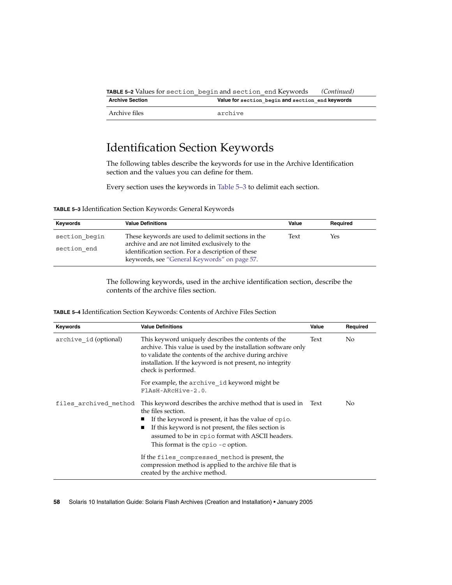<span id="page-57-0"></span>

| TABLE 5-2 Values for section begin and section end Keywords | (Continued)                                      |
|-------------------------------------------------------------|--------------------------------------------------|
| <b>Archive Section</b>                                      | Value for section begin and section end keywords |
| Archive files                                               | archive                                          |

## Identification Section Keywords

The following tables describe the keywords for use in the Archive Identification section and the values you can define for them.

Every section uses the keywords in Table 5–3 to delimit each section.

**TABLE 5–3** Identification Section Keywords: General Keywords

| Keywords                     | <b>Value Definitions</b>                                                                                                                                                                                   | Value | Required |
|------------------------------|------------------------------------------------------------------------------------------------------------------------------------------------------------------------------------------------------------|-------|----------|
| section begin<br>section end | These keywords are used to delimit sections in the<br>archive and are not limited exclusively to the<br>identification section. For a description of these<br>keywords, see "General Keywords" on page 57. | Text  | Yes      |

The following keywords, used in the archive identification section, describe the contents of the archive files section.

| <b>TABLE 5-4</b> Identification Section Keywords: Contents of Archive Files Section |
|-------------------------------------------------------------------------------------|
|-------------------------------------------------------------------------------------|

| <b>Keywords</b>       | <b>Value Definitions</b>                                                                                                                                                                                                                                                                                          | Value | Required |
|-----------------------|-------------------------------------------------------------------------------------------------------------------------------------------------------------------------------------------------------------------------------------------------------------------------------------------------------------------|-------|----------|
| archive id (optional) | This keyword uniquely describes the contents of the<br>archive. This value is used by the installation software only<br>to validate the contents of the archive during archive<br>installation. If the keyword is not present, no integrity<br>check is performed.                                                | Text  | No.      |
|                       | For example, the archive id keyword might be<br>FlAsH-ARcHive-2.0.                                                                                                                                                                                                                                                |       |          |
| files archived method | This keyword describes the archive method that is used in Text<br>the files section.<br>If the keyword is present, it has the value of cpio.<br>If this keyword is not present, the files section is<br>$\blacksquare$<br>assumed to be in cpio format with ASCII headers.<br>This format is the cpio - c option. |       | No.      |
|                       | If the files_compressed_method is present, the<br>compression method is applied to the archive file that is<br>created by the archive method.                                                                                                                                                                     |       |          |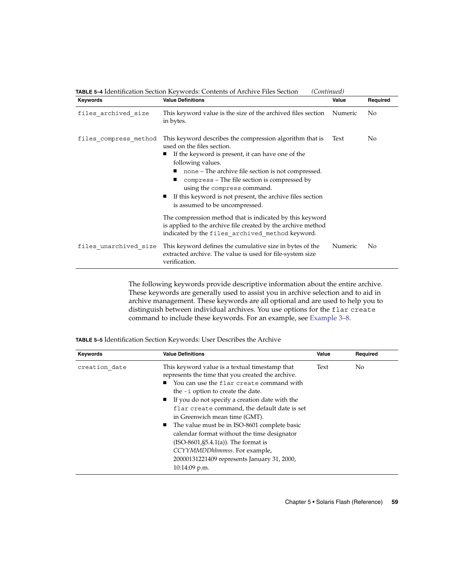| Keywords              | <b>Value Definitions</b>                                                                                                                                                                                                                                                                                                                                                                                               | Value   | Required |
|-----------------------|------------------------------------------------------------------------------------------------------------------------------------------------------------------------------------------------------------------------------------------------------------------------------------------------------------------------------------------------------------------------------------------------------------------------|---------|----------|
| files archived size   | This keyword value is the size of the archived files section<br>in bytes.                                                                                                                                                                                                                                                                                                                                              | Numeric | No.      |
| files compress method | This keyword describes the compression algorithm that is<br>used on the files section.<br>If the keyword is present, it can have one of the<br>following values.<br>none - The archive file section is not compressed.<br>compress – The file section is compressed by<br>using the compress command.<br>If this keyword is not present, the archive files section<br>$\blacksquare$<br>is assumed to be uncompressed. | Text    | No.      |
|                       | The compression method that is indicated by this keyword<br>is applied to the archive file created by the archive method<br>indicated by the files_archived_method keyword.                                                                                                                                                                                                                                            |         |          |
| files unarchived size | This keyword defines the cumulative size in bytes of the<br>extracted archive. The value is used for file-system size<br>verification.                                                                                                                                                                                                                                                                                 | Numeric | No.      |

**TABLE 5–4** Identification Section Keywords: Contents of Archive Files Section *(Continued)*

The following keywords provide descriptive information about the entire archive. These keywords are generally used to assist you in archive selection and to aid in archive management. These keywords are all optional and are used to help you to distinguish between individual archives. You use options for the flar create command to include these keywords. For an example, see [Example 3–8.](#page-39-0)

| Keywords      | <b>Value Definitions</b>                                                                                                                                                                                                                                                                                                                                                                                                                                                                                                                                                           | Value | Required |
|---------------|------------------------------------------------------------------------------------------------------------------------------------------------------------------------------------------------------------------------------------------------------------------------------------------------------------------------------------------------------------------------------------------------------------------------------------------------------------------------------------------------------------------------------------------------------------------------------------|-------|----------|
| creation date | This keyword value is a textual timestamp that<br>represents the time that you created the archive.<br>You can use the flar create command with<br>the -i option to create the date.<br>$\blacksquare$ If you do not specify a creation date with the<br>flar create command, the default date is set<br>in Greenwich mean time (GMT).<br>The value must be in ISO-8601 complete basic<br>calendar format without the time designator<br>$(ISO-8601,\$5.4.1(a))$ . The format is<br>CCYYMMDDhhmmss. For example,<br>20000131221409 represents January 31, 2000,<br>$10:14:09$ p.m. | Text  | No.      |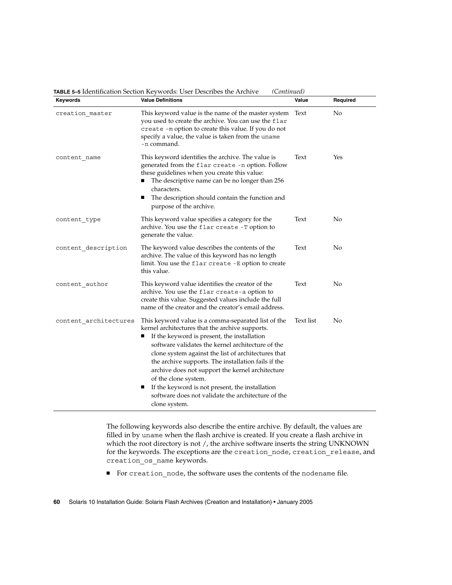| Keywords              | <b>Value Definitions</b>                                                                                                                                                                                                                                                                                                                                                                                                                                                                                                                 | Value     | Required |
|-----------------------|------------------------------------------------------------------------------------------------------------------------------------------------------------------------------------------------------------------------------------------------------------------------------------------------------------------------------------------------------------------------------------------------------------------------------------------------------------------------------------------------------------------------------------------|-----------|----------|
| creation master       | This keyword value is the name of the master system<br>you used to create the archive. You can use the flar<br>create -m option to create this value. If you do not<br>specify a value, the value is taken from the uname<br>-n command.                                                                                                                                                                                                                                                                                                 | Text      | No       |
| content name          | This keyword identifies the archive. The value is<br>generated from the flar create -n option. Follow<br>these guidelines when you create this value:<br>The descriptive name can be no longer than 256<br>characters.<br>The description should contain the function and<br>ш<br>purpose of the archive.                                                                                                                                                                                                                                | Text      | Yes      |
| content type          | This keyword value specifies a category for the<br>archive. You use the flar create - T option to<br>generate the value.                                                                                                                                                                                                                                                                                                                                                                                                                 | Text      | No       |
| content description   | The keyword value describes the contents of the<br>archive. The value of this keyword has no length<br>limit. You use the flar create -E option to create<br>this value.                                                                                                                                                                                                                                                                                                                                                                 | Text      | No       |
| content author        | This keyword value identifies the creator of the<br>archive. You use the flar create-a option to<br>create this value. Suggested values include the full<br>name of the creator and the creator's email address.                                                                                                                                                                                                                                                                                                                         | Text      | No       |
| content architectures | This keyword value is a comma-separated list of the<br>kernel architectures that the archive supports.<br>If the keyword is present, the installation<br>щ<br>software validates the kernel architecture of the<br>clone system against the list of architectures that<br>the archive supports. The installation fails if the<br>archive does not support the kernel architecture<br>of the clone system.<br>If the keyword is not present, the installation<br>ш<br>software does not validate the architecture of the<br>clone system. | Text list | No       |

**TABLE 5–5** Identification Section Keywords: User Describes the Archive *(Continued)*

The following keywords also describe the entire archive. By default, the values are filled in by uname when the flash archive is created. If you create a flash archive in which the root directory is not /, the archive software inserts the string UNKNOWN for the keywords. The exceptions are the creation\_node, creation\_release, and creation\_os\_name keywords.

■ For creation\_node, the software uses the contents of the nodename file.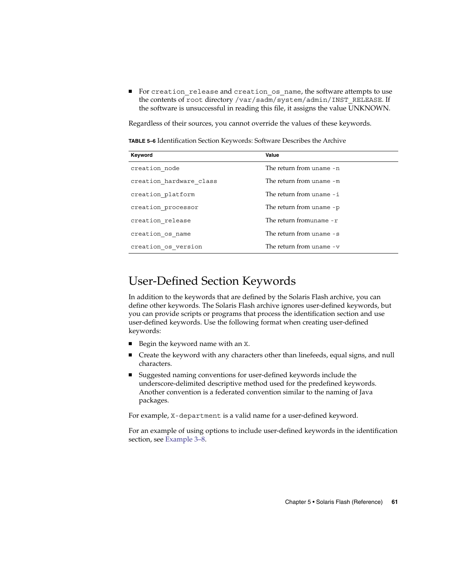■ For creation release and creation os name, the software attempts to use the contents of root directory /var/sadm/system/admin/INST\_RELEASE. If the software is unsuccessful in reading this file, it assigns the value UNKNOWN.

Regardless of their sources, you cannot override the values of these keywords.

**TABLE 5–6** Identification Section Keywords: Software Describes the Archive

| Keyword                 | Value                                            |
|-------------------------|--------------------------------------------------|
| creation node           | The return from uname -n                         |
| creation hardware class | The return from uname -m                         |
| creation platform       | The return from uname $-i$                       |
| creation processor      | The return from uname -p                         |
| creation release        | The return fromuname $-r$                        |
| creation os name        | The return from uname $ \boldsymbol{\mathsf{s}}$ |
| creation os version     | The return from uname $-v$                       |

### User-Defined Section Keywords

In addition to the keywords that are defined by the Solaris Flash archive, you can define other keywords. The Solaris Flash archive ignores user-defined keywords, but you can provide scripts or programs that process the identification section and use user-defined keywords. Use the following format when creating user-defined keywords:

- Begin the keyword name with an X.
- Create the keyword with any characters other than linefeeds, equal signs, and null characters.
- Suggested naming conventions for user-defined keywords include the underscore-delimited descriptive method used for the predefined keywords. Another convention is a federated convention similar to the naming of Java packages.

For example, X-department is a valid name for a user-defined keyword.

For an example of using options to include user-defined keywords in the identification section, see [Example 3–8.](#page-39-0)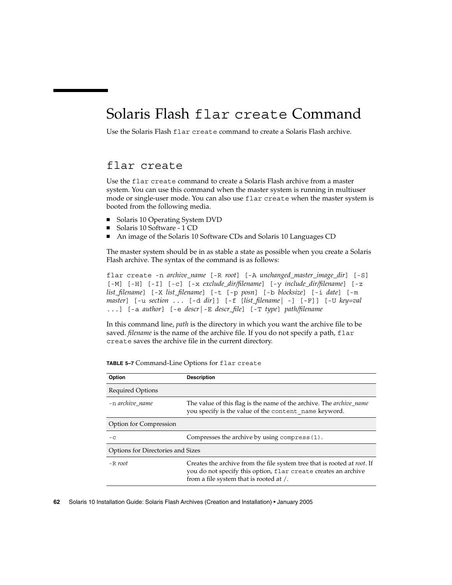## <span id="page-61-0"></span>Solaris Flash flar create Command

Use the Solaris Flash flar create command to create a Solaris Flash archive.

### flar create

Use the flar create command to create a Solaris Flash archive from a master system. You can use this command when the master system is running in multiuser mode or single-user mode. You can also use flar create when the master system is booted from the following media.

- Solaris 10 Operating System DVD
- Solaris 10 Software 1 CD
- An image of the Solaris 10 Software CDs and Solaris 10 Languages CD

The master system should be in as stable a state as possible when you create a Solaris Flash archive. The syntax of the command is as follows:

flar create -n *archive\_name* [-R *root*] [-A *unchanged\_master\_image\_dir*] [-S] [-M] [-H] [-I] [-c] [-x *exclude\_dir/filename*] [-y *include\_dir/filename*] [-z *list\_filename*] [-X *list\_filename*] [-t [-p *posn*] [-b *blocksize*] [-i *date*] [-m *master*] [-u *section* ... [-d *dir*]] [-f [*list\_filename*| -] [-F]] [-U *key=val* ...] [-a *author*] [-e *descr*|-E *descr\_file*] [-T *type*] *path/filename*

In this command line, *path* is the directory in which you want the archive file to be saved. *filename* is the name of the archive file. If you do not specify a path, flar create saves the archive file in the current directory.

| Option                            | <b>Description</b>                                                                                                                                                                    |
|-----------------------------------|---------------------------------------------------------------------------------------------------------------------------------------------------------------------------------------|
| Required Options                  |                                                                                                                                                                                       |
| -n archive_name                   | The value of this flag is the name of the archive. The <i>archive_name</i><br>you specify is the value of the content name keyword.                                                   |
| <b>Option for Compression</b>     |                                                                                                                                                                                       |
| $- C$                             | Compresses the archive by using compress $(1)$ .                                                                                                                                      |
| Options for Directories and Sizes |                                                                                                                                                                                       |
| $-R$ root                         | Creates the archive from the file system tree that is rooted at root. If<br>you do not specify this option, flar create creates an archive<br>from a file system that is rooted at /. |

**TABLE 5–7** Command-Line Options for flar create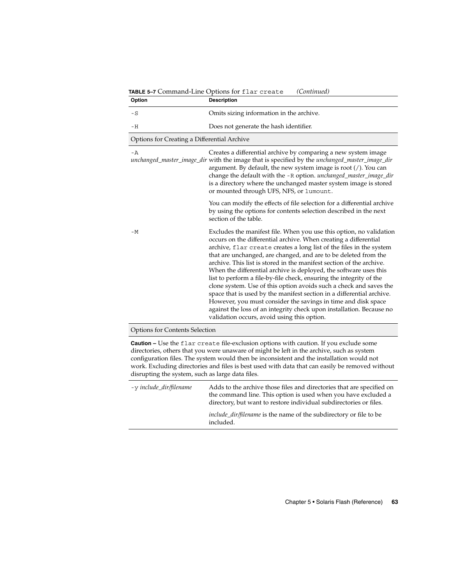| Option                                      | <b>Description</b>                                                                                                                                                                                                                                                                                                                                                                                                                                                                                                                                                                                                                                                                                                                                                                                                                           |
|---------------------------------------------|----------------------------------------------------------------------------------------------------------------------------------------------------------------------------------------------------------------------------------------------------------------------------------------------------------------------------------------------------------------------------------------------------------------------------------------------------------------------------------------------------------------------------------------------------------------------------------------------------------------------------------------------------------------------------------------------------------------------------------------------------------------------------------------------------------------------------------------------|
| $-S$                                        | Omits sizing information in the archive.                                                                                                                                                                                                                                                                                                                                                                                                                                                                                                                                                                                                                                                                                                                                                                                                     |
| – H                                         | Does not generate the hash identifier.                                                                                                                                                                                                                                                                                                                                                                                                                                                                                                                                                                                                                                                                                                                                                                                                       |
| Options for Creating a Differential Archive |                                                                                                                                                                                                                                                                                                                                                                                                                                                                                                                                                                                                                                                                                                                                                                                                                                              |
| $-A$                                        | Creates a differential archive by comparing a new system image<br>unchanged_master_image_dir with the image that is specified by the unchanged_master_image_dir<br>argument. By default, the new system image is root $\left(\frac{\ }{\ } \right)$ . You can<br>change the default with the -R option. unchanged_master_image_dir<br>is a directory where the unchanged master system image is stored<br>or mounted through UFS, NFS, or lumount.                                                                                                                                                                                                                                                                                                                                                                                           |
|                                             | You can modify the effects of file selection for a differential archive<br>by using the options for contents selection described in the next<br>section of the table.                                                                                                                                                                                                                                                                                                                                                                                                                                                                                                                                                                                                                                                                        |
| $-M$                                        | Excludes the manifest file. When you use this option, no validation<br>occurs on the differential archive. When creating a differential<br>archive, flar create creates a long list of the files in the system<br>that are unchanged, are changed, and are to be deleted from the<br>archive. This list is stored in the manifest section of the archive.<br>When the differential archive is deployed, the software uses this<br>list to perform a file-by-file check, ensuring the integrity of the<br>clone system. Use of this option avoids such a check and saves the<br>space that is used by the manifest section in a differential archive.<br>However, you must consider the savings in time and disk space<br>against the loss of an integrity check upon installation. Because no<br>validation occurs, avoid using this option. |

**TABLE 5–7** Command-Line Options for flar create *(Continued)*

**Caution –** Use the flar create file-exclusion options with caution. If you exclude some directories, others that you were unaware of might be left in the archive, such as system configuration files. The system would then be inconsistent and the installation would not work. Excluding directories and files is best used with data that can easily be removed without disrupting the system, such as large data files.

| -y include_dir/filename | Adds to the archive those files and directories that are specified on<br>the command line. This option is used when you have excluded a<br>directory, but want to restore individual subdirectories or files. |
|-------------------------|---------------------------------------------------------------------------------------------------------------------------------------------------------------------------------------------------------------|
|                         | <i>include_dir/filename</i> is the name of the subdirectory or file to be<br>included.                                                                                                                        |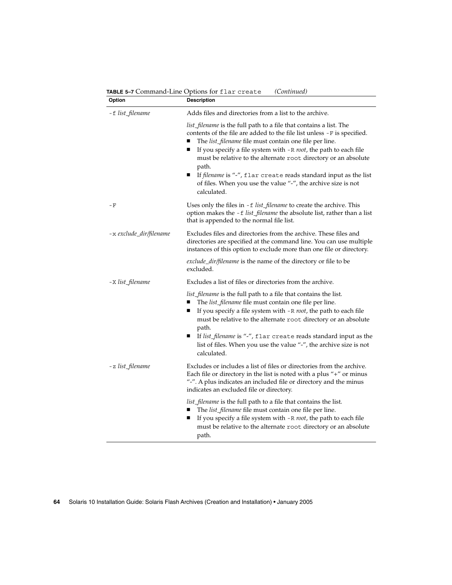| Option                  | <b>Description</b>                                                                                                                                                                                                                                                                                                                                                                                                                                                                                                |
|-------------------------|-------------------------------------------------------------------------------------------------------------------------------------------------------------------------------------------------------------------------------------------------------------------------------------------------------------------------------------------------------------------------------------------------------------------------------------------------------------------------------------------------------------------|
| - f list_filename       | Adds files and directories from a list to the archive.                                                                                                                                                                                                                                                                                                                                                                                                                                                            |
|                         | list_filename is the full path to a file that contains a list. The<br>contents of the file are added to the file list unless - F is specified.<br>The list_filename file must contain one file per line.<br>If you specify a file system with -R root, the path to each file<br>must be relative to the alternate root directory or an absolute<br>path.<br>If filename is "-", flar create reads standard input as the list<br>п<br>of files. When you use the value "-", the archive size is not<br>calculated. |
| – F                     | Uses only the files in - f <i>list_filename</i> to create the archive. This<br>option makes the - f list_filename the absolute list, rather than a list<br>that is appended to the normal file list.                                                                                                                                                                                                                                                                                                              |
| -x exclude_dir/filename | Excludes files and directories from the archive. These files and<br>directories are specified at the command line. You can use multiple<br>instances of this option to exclude more than one file or directory.                                                                                                                                                                                                                                                                                                   |
|                         | <i>exclude_dir/filename</i> is the name of the directory or file to be<br>excluded.                                                                                                                                                                                                                                                                                                                                                                                                                               |
| - x list_filename       | Excludes a list of files or directories from the archive.                                                                                                                                                                                                                                                                                                                                                                                                                                                         |
|                         | list_filename is the full path to a file that contains the list.<br>The list_filename file must contain one file per line.<br>If you specify a file system with -R root, the path to each file<br>must be relative to the alternate root directory or an absolute<br>path.<br>If list_filename is "-", flar create reads standard input as the<br>list of files. When you use the value "-", the archive size is not<br>calculated.                                                                               |
| - z list_filename       | Excludes or includes a list of files or directories from the archive.<br>Each file or directory in the list is noted with a plus " $+$ " or minus<br>"-". A plus indicates an included file or directory and the minus<br>indicates an excluded file or directory.                                                                                                                                                                                                                                                |
|                         | <i>list_filename</i> is the full path to a file that contains the list.<br>The list_filename file must contain one file per line.<br>If you specify a file system with -R root, the path to each file<br>must be relative to the alternate root directory or an absolute<br>path.                                                                                                                                                                                                                                 |

**TABLE 5–7** Command-Line Options for flar create *(Continued)*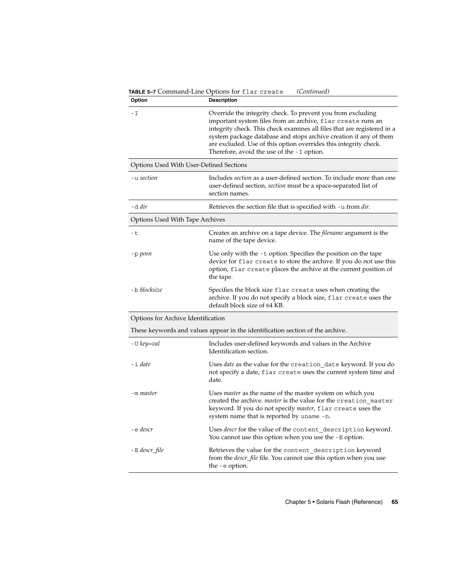|                                         | <b>TABLE 5–7</b> Command-Line Options for <code>flar</code> create<br>(Continued)                                                                                                                                                                                                                                                                                                            |
|-----------------------------------------|----------------------------------------------------------------------------------------------------------------------------------------------------------------------------------------------------------------------------------------------------------------------------------------------------------------------------------------------------------------------------------------------|
| Option                                  | <b>Description</b>                                                                                                                                                                                                                                                                                                                                                                           |
| $-\mathbf{I}$                           | Override the integrity check. To prevent you from excluding<br>important system files from an archive, flar create runs an<br>integrity check. This check examines all files that are registered in a<br>system package database and stops archive creation if any of them<br>are excluded. Use of this option overrides this integrity check.<br>Therefore, avoid the use of the -1 option. |
| Options Used With User-Defined Sections |                                                                                                                                                                                                                                                                                                                                                                                              |
| -u section                              | Includes section as a user-defined section. To include more than one<br>user-defined section, section must be a space-separated list of<br>section names.                                                                                                                                                                                                                                    |
| -d dir                                  | Retrieves the section file that is specified with -u from <i>dir</i> .                                                                                                                                                                                                                                                                                                                       |
| Options Used With Tape Archives         |                                                                                                                                                                                                                                                                                                                                                                                              |
| -t                                      | Creates an archive on a tape device. The <i>filename</i> argument is the<br>name of the tape device.                                                                                                                                                                                                                                                                                         |
| -p posn                                 | Use only with the -t option. Specifies the position on the tape<br>device for flar create to store the archive. If you do not use this<br>option, flar create places the archive at the current position of<br>the tape.                                                                                                                                                                     |
| -b blocksize                            | Specifies the block size flar create uses when creating the<br>archive. If you do not specify a block size, flar create uses the<br>default block size of 64 KB.                                                                                                                                                                                                                             |
| Options for Archive Identification      |                                                                                                                                                                                                                                                                                                                                                                                              |
|                                         | These keywords and values appear in the identification section of the archive.                                                                                                                                                                                                                                                                                                               |
| -∪ key=val                              | Includes user-defined keywords and values in the Archive<br>Identification section.                                                                                                                                                                                                                                                                                                          |
| -i date                                 | Uses <i>date</i> as the value for the creation date keyword. If you do<br>not specify a date, flar create uses the current system time and<br>date.                                                                                                                                                                                                                                          |
| -m <i>master</i>                        | Uses <i>master</i> as the name of the master system on which you<br>created the archive. master is the value for the creation_master<br>keyword. If you do not specify master, flar create uses the<br>system name that is reported by uname -n.                                                                                                                                             |
| -e descr                                | Uses <i>descr</i> for the value of the content description keyword.<br>You cannot use this option when you use the -E option.                                                                                                                                                                                                                                                                |
| -E descr_file                           | Retrieves the value for the content description keyword<br>from the <i>descr_file</i> file. You cannot use this option when you use<br>the -e option.                                                                                                                                                                                                                                        |

**TABLE 5–7** Command-Line Options for flar create *(Continued)*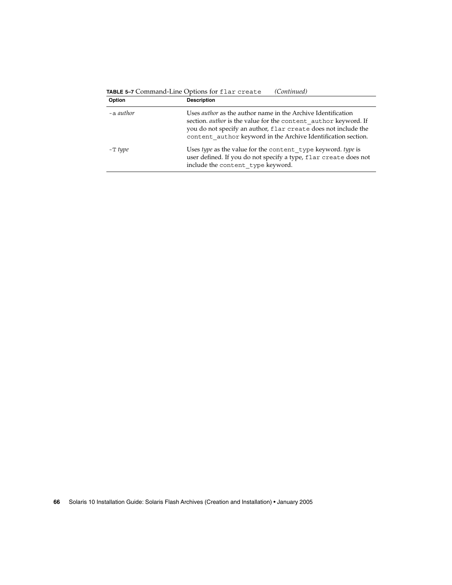| Option    | <b>Description</b>                                                                                                                                                                                                                                                               |
|-----------|----------------------------------------------------------------------------------------------------------------------------------------------------------------------------------------------------------------------------------------------------------------------------------|
| -a author | Uses <i>author</i> as the author name in the Archive Identification<br>section. <i>author</i> is the value for the content author keyword. If<br>you do not specify an author, flar create does not include the<br>content author keyword in the Archive Identification section. |
| -T type   | Uses type as the value for the content type keyword. type is<br>user defined. If you do not specify a type, flar create does not<br>include the content type keyword.                                                                                                            |

**TABLE 5–7** Command-Line Options for flar create *(Continued)*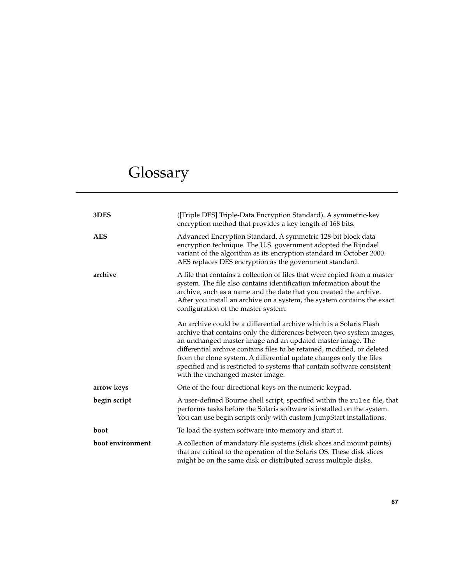# Glossary

| 3DES             | ([Triple DES] Triple-Data Encryption Standard). A symmetric-key<br>encryption method that provides a key length of 168 bits.                                                                                                                                                                                                                                                                                                                                                 |
|------------------|------------------------------------------------------------------------------------------------------------------------------------------------------------------------------------------------------------------------------------------------------------------------------------------------------------------------------------------------------------------------------------------------------------------------------------------------------------------------------|
| <b>AES</b>       | Advanced Encryption Standard. A symmetric 128-bit block data<br>encryption technique. The U.S. government adopted the Rijndael<br>variant of the algorithm as its encryption standard in October 2000.<br>AES replaces DES encryption as the government standard.                                                                                                                                                                                                            |
| archive          | A file that contains a collection of files that were copied from a master<br>system. The file also contains identification information about the<br>archive, such as a name and the date that you created the archive.<br>After you install an archive on a system, the system contains the exact<br>configuration of the master system.                                                                                                                                     |
|                  | An archive could be a differential archive which is a Solaris Flash<br>archive that contains only the differences between two system images,<br>an unchanged master image and an updated master image. The<br>differential archive contains files to be retained, modified, or deleted<br>from the clone system. A differential update changes only the files<br>specified and is restricted to systems that contain software consistent<br>with the unchanged master image. |
| arrow keys       | One of the four directional keys on the numeric keypad.                                                                                                                                                                                                                                                                                                                                                                                                                      |
| begin script     | A user-defined Bourne shell script, specified within the rules file, that<br>performs tasks before the Solaris software is installed on the system.<br>You can use begin scripts only with custom JumpStart installations.                                                                                                                                                                                                                                                   |
| boot             | To load the system software into memory and start it.                                                                                                                                                                                                                                                                                                                                                                                                                        |
| boot environment | A collection of mandatory file systems (disk slices and mount points)<br>that are critical to the operation of the Solaris OS. These disk slices<br>might be on the same disk or distributed across multiple disks.                                                                                                                                                                                                                                                          |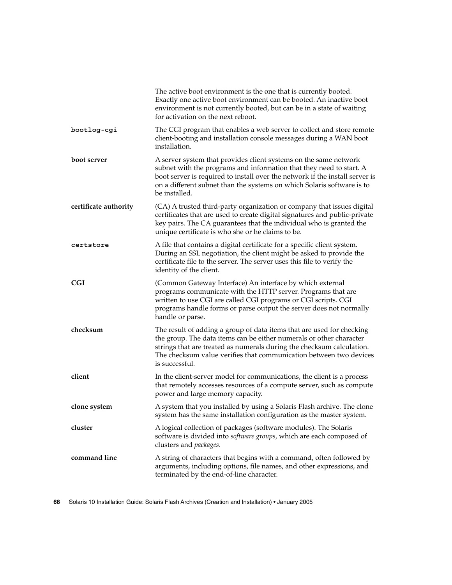|                       | The active boot environment is the one that is currently booted.<br>Exactly one active boot environment can be booted. An inactive boot<br>environment is not currently booted, but can be in a state of waiting<br>for activation on the next reboot.                                                             |
|-----------------------|--------------------------------------------------------------------------------------------------------------------------------------------------------------------------------------------------------------------------------------------------------------------------------------------------------------------|
| bootlog-cgi           | The CGI program that enables a web server to collect and store remote<br>client-booting and installation console messages during a WAN boot<br>installation.                                                                                                                                                       |
| boot server           | A server system that provides client systems on the same network<br>subnet with the programs and information that they need to start. A<br>boot server is required to install over the network if the install server is<br>on a different subnet than the systems on which Solaris software is to<br>be installed. |
| certificate authority | (CA) A trusted third-party organization or company that issues digital<br>certificates that are used to create digital signatures and public-private<br>key pairs. The CA guarantees that the individual who is granted the<br>unique certificate is who she or he claims to be.                                   |
| certstore             | A file that contains a digital certificate for a specific client system.<br>During an SSL negotiation, the client might be asked to provide the<br>certificate file to the server. The server uses this file to verify the<br>identity of the client.                                                              |
| <b>CGI</b>            | (Common Gateway Interface) An interface by which external<br>programs communicate with the HTTP server. Programs that are<br>written to use CGI are called CGI programs or CGI scripts. CGI<br>programs handle forms or parse output the server does not normally<br>handle or parse.                              |
| checksum              | The result of adding a group of data items that are used for checking<br>the group. The data items can be either numerals or other character<br>strings that are treated as numerals during the checksum calculation.<br>The checksum value verifies that communication between two devices<br>is successful.      |
| client                | In the client-server model for communications, the client is a process<br>that remotely accesses resources of a compute server, such as compute<br>power and large memory capacity.                                                                                                                                |
| clone system          | A system that you installed by using a Solaris Flash archive. The clone<br>system has the same installation configuration as the master system.                                                                                                                                                                    |
| cluster               | A logical collection of packages (software modules). The Solaris<br>software is divided into software groups, which are each composed of<br>clusters and packages.                                                                                                                                                 |
| command line          | A string of characters that begins with a command, often followed by<br>arguments, including options, file names, and other expressions, and<br>terminated by the end-of-line character.                                                                                                                           |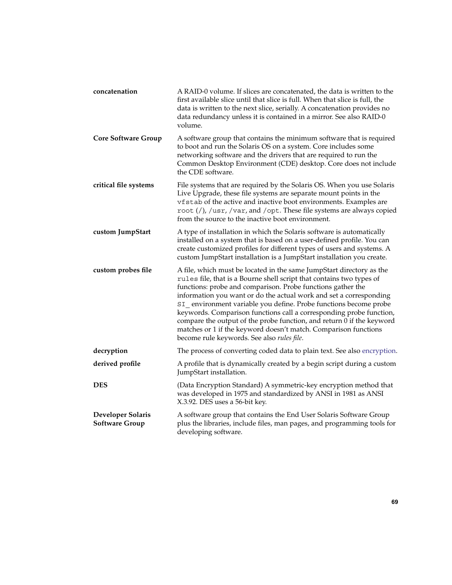<span id="page-68-0"></span>

| concatenation                              | A RAID-0 volume. If slices are concatenated, the data is written to the<br>first available slice until that slice is full. When that slice is full, the<br>data is written to the next slice, serially. A concatenation provides no<br>data redundancy unless it is contained in a mirror. See also RAID-0<br>volume.                                                                                                                                                                                                                                                                                                  |
|--------------------------------------------|------------------------------------------------------------------------------------------------------------------------------------------------------------------------------------------------------------------------------------------------------------------------------------------------------------------------------------------------------------------------------------------------------------------------------------------------------------------------------------------------------------------------------------------------------------------------------------------------------------------------|
| <b>Core Software Group</b>                 | A software group that contains the minimum software that is required<br>to boot and run the Solaris OS on a system. Core includes some<br>networking software and the drivers that are required to run the<br>Common Desktop Environment (CDE) desktop. Core does not include<br>the CDE software.                                                                                                                                                                                                                                                                                                                     |
| critical file systems                      | File systems that are required by the Solaris OS. When you use Solaris<br>Live Upgrade, these file systems are separate mount points in the<br>vfstab of the active and inactive boot environments. Examples are<br>root (/), /usr, /var, and /opt. These file systems are always copied<br>from the source to the inactive boot environment.                                                                                                                                                                                                                                                                          |
| custom JumpStart                           | A type of installation in which the Solaris software is automatically<br>installed on a system that is based on a user-defined profile. You can<br>create customized profiles for different types of users and systems. A<br>custom JumpStart installation is a JumpStart installation you create.                                                                                                                                                                                                                                                                                                                     |
| custom probes file                         | A file, which must be located in the same JumpStart directory as the<br>rules file, that is a Bourne shell script that contains two types of<br>functions: probe and comparison. Probe functions gather the<br>information you want or do the actual work and set a corresponding<br>SI environment variable you define. Probe functions become probe<br>keywords. Comparison functions call a corresponding probe function,<br>compare the output of the probe function, and return 0 if the keyword<br>matches or 1 if the keyword doesn't match. Comparison functions<br>become rule keywords. See also rules file. |
| decryption                                 | The process of converting coded data to plain text. See also encryption.                                                                                                                                                                                                                                                                                                                                                                                                                                                                                                                                               |
| derived profile                            | A profile that is dynamically created by a begin script during a custom<br>JumpStart installation.                                                                                                                                                                                                                                                                                                                                                                                                                                                                                                                     |
| <b>DES</b>                                 | (Data Encryption Standard) A symmetric-key encryption method that<br>was developed in 1975 and standardized by ANSI in 1981 as ANSI<br>X.3.92. DES uses a 56-bit key.                                                                                                                                                                                                                                                                                                                                                                                                                                                  |
| Developer Solaris<br><b>Software Group</b> | A software group that contains the End User Solaris Software Group<br>plus the libraries, include files, man pages, and programming tools for<br>developing software.                                                                                                                                                                                                                                                                                                                                                                                                                                                  |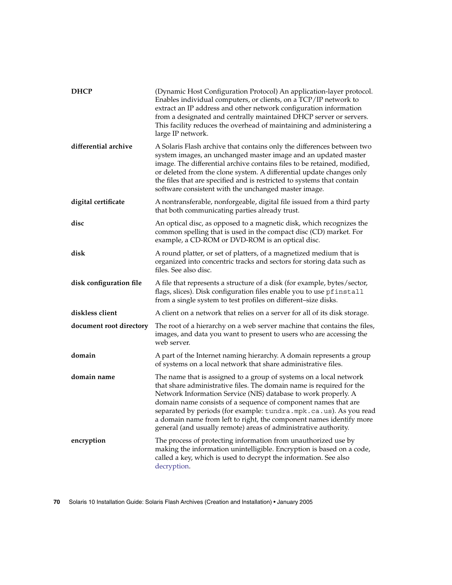<span id="page-69-0"></span>

| <b>DHCP</b>             | (Dynamic Host Configuration Protocol) An application-layer protocol.<br>Enables individual computers, or clients, on a TCP/IP network to<br>extract an IP address and other network configuration information<br>from a designated and centrally maintained DHCP server or servers.<br>This facility reduces the overhead of maintaining and administering a<br>large IP network.                                                                                                             |
|-------------------------|-----------------------------------------------------------------------------------------------------------------------------------------------------------------------------------------------------------------------------------------------------------------------------------------------------------------------------------------------------------------------------------------------------------------------------------------------------------------------------------------------|
| differential archive    | A Solaris Flash archive that contains only the differences between two<br>system images, an unchanged master image and an updated master<br>image. The differential archive contains files to be retained, modified,<br>or deleted from the clone system. A differential update changes only<br>the files that are specified and is restricted to systems that contain<br>software consistent with the unchanged master image.                                                                |
| digital certificate     | A nontransferable, nonforgeable, digital file issued from a third party<br>that both communicating parties already trust.                                                                                                                                                                                                                                                                                                                                                                     |
| disc                    | An optical disc, as opposed to a magnetic disk, which recognizes the<br>common spelling that is used in the compact disc (CD) market. For<br>example, a CD-ROM or DVD-ROM is an optical disc.                                                                                                                                                                                                                                                                                                 |
| disk                    | A round platter, or set of platters, of a magnetized medium that is<br>organized into concentric tracks and sectors for storing data such as<br>files. See also disc.                                                                                                                                                                                                                                                                                                                         |
| disk configuration file | A file that represents a structure of a disk (for example, bytes/sector,<br>flags, slices). Disk configuration files enable you to use pfinstall<br>from a single system to test profiles on different-size disks.                                                                                                                                                                                                                                                                            |
| diskless client         | A client on a network that relies on a server for all of its disk storage.                                                                                                                                                                                                                                                                                                                                                                                                                    |
| document root directory | The root of a hierarchy on a web server machine that contains the files,<br>images, and data you want to present to users who are accessing the<br>web server.                                                                                                                                                                                                                                                                                                                                |
| domain                  | A part of the Internet naming hierarchy. A domain represents a group<br>of systems on a local network that share administrative files.                                                                                                                                                                                                                                                                                                                                                        |
| domain name             | The name that is assigned to a group of systems on a local network<br>that share administrative files. The domain name is required for the<br>Network Information Service (NIS) database to work properly. A<br>domain name consists of a sequence of component names that are<br>separated by periods (for example: tundra.mpk.ca.us). As you read<br>a domain name from left to right, the component names identify more<br>general (and usually remote) areas of administrative authority. |
| encryption              | The process of protecting information from unauthorized use by<br>making the information unintelligible. Encryption is based on a code,<br>called a key, which is used to decrypt the information. See also<br>decryption.                                                                                                                                                                                                                                                                    |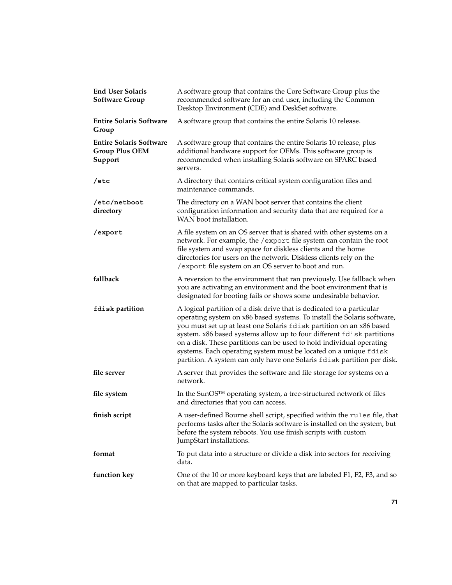| <b>End User Solaris</b><br><b>Software Group</b>                   | A software group that contains the Core Software Group plus the<br>recommended software for an end user, including the Common<br>Desktop Environment (CDE) and DeskSet software.                                                                                                                                                                                                                                                                                                                                          |
|--------------------------------------------------------------------|---------------------------------------------------------------------------------------------------------------------------------------------------------------------------------------------------------------------------------------------------------------------------------------------------------------------------------------------------------------------------------------------------------------------------------------------------------------------------------------------------------------------------|
| <b>Entire Solaris Software</b><br>Group                            | A software group that contains the entire Solaris 10 release.                                                                                                                                                                                                                                                                                                                                                                                                                                                             |
| <b>Entire Solaris Software</b><br><b>Group Plus OEM</b><br>Support | A software group that contains the entire Solaris 10 release, plus<br>additional hardware support for OEMs. This software group is<br>recommended when installing Solaris software on SPARC based<br>servers.                                                                                                                                                                                                                                                                                                             |
| /etc                                                               | A directory that contains critical system configuration files and<br>maintenance commands.                                                                                                                                                                                                                                                                                                                                                                                                                                |
| /etc/netboot<br>directory                                          | The directory on a WAN boot server that contains the client<br>configuration information and security data that are required for a<br>WAN boot installation.                                                                                                                                                                                                                                                                                                                                                              |
| /export                                                            | A file system on an OS server that is shared with other systems on a<br>network. For example, the /export file system can contain the root<br>file system and swap space for diskless clients and the home<br>directories for users on the network. Diskless clients rely on the<br>/export file system on an OS server to boot and run.                                                                                                                                                                                  |
| fallback                                                           | A reversion to the environment that ran previously. Use fallback when<br>you are activating an environment and the boot environment that is<br>designated for booting fails or shows some undesirable behavior.                                                                                                                                                                                                                                                                                                           |
| fdisk partition                                                    | A logical partition of a disk drive that is dedicated to a particular<br>operating system on x86 based systems. To install the Solaris software,<br>you must set up at least one Solaris fdisk partition on an x86 based<br>system. x86 based systems allow up to four different fdisk partitions<br>on a disk. These partitions can be used to hold individual operating<br>systems. Each operating system must be located on a unique fdisk<br>partition. A system can only have one Solaris f disk partition per disk. |
| file server                                                        | A server that provides the software and file storage for systems on a<br>network.                                                                                                                                                                                                                                                                                                                                                                                                                                         |
| file system                                                        | In the SunOS™ operating system, a tree-structured network of files<br>and directories that you can access.                                                                                                                                                                                                                                                                                                                                                                                                                |
| finish script                                                      | A user-defined Bourne shell script, specified within the rules file, that<br>performs tasks after the Solaris software is installed on the system, but<br>before the system reboots. You use finish scripts with custom<br>JumpStart installations.                                                                                                                                                                                                                                                                       |
| format                                                             | To put data into a structure or divide a disk into sectors for receiving<br>data.                                                                                                                                                                                                                                                                                                                                                                                                                                         |
| function key                                                       | One of the 10 or more keyboard keys that are labeled F1, F2, F3, and so<br>on that are mapped to particular tasks.                                                                                                                                                                                                                                                                                                                                                                                                        |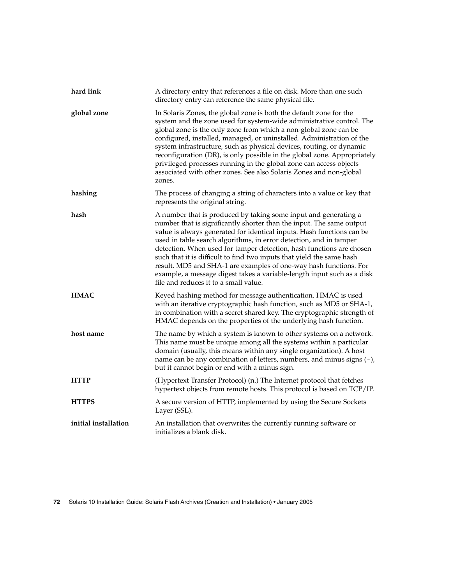| hard link            | A directory entry that references a file on disk. More than one such<br>directory entry can reference the same physical file.                                                                                                                                                                                                                                                                                                                                                                                                                                                                                                   |
|----------------------|---------------------------------------------------------------------------------------------------------------------------------------------------------------------------------------------------------------------------------------------------------------------------------------------------------------------------------------------------------------------------------------------------------------------------------------------------------------------------------------------------------------------------------------------------------------------------------------------------------------------------------|
| global zone          | In Solaris Zones, the global zone is both the default zone for the<br>system and the zone used for system-wide administrative control. The<br>global zone is the only zone from which a non-global zone can be<br>configured, installed, managed, or uninstalled. Administration of the<br>system infrastructure, such as physical devices, routing, or dynamic<br>reconfiguration (DR), is only possible in the global zone. Appropriately<br>privileged processes running in the global zone can access objects<br>associated with other zones. See also Solaris Zones and non-global<br>zones.                               |
| hashing              | The process of changing a string of characters into a value or key that<br>represents the original string.                                                                                                                                                                                                                                                                                                                                                                                                                                                                                                                      |
| hash                 | A number that is produced by taking some input and generating a<br>number that is significantly shorter than the input. The same output<br>value is always generated for identical inputs. Hash functions can be<br>used in table search algorithms, in error detection, and in tamper<br>detection. When used for tamper detection, hash functions are chosen<br>such that it is difficult to find two inputs that yield the same hash<br>result. MD5 and SHA-1 are examples of one-way hash functions. For<br>example, a message digest takes a variable-length input such as a disk<br>file and reduces it to a small value. |
| <b>HMAC</b>          | Keyed hashing method for message authentication. HMAC is used<br>with an iterative cryptographic hash function, such as MD5 or SHA-1,<br>in combination with a secret shared key. The cryptographic strength of<br>HMAC depends on the properties of the underlying hash function.                                                                                                                                                                                                                                                                                                                                              |
| host name            | The name by which a system is known to other systems on a network.<br>This name must be unique among all the systems within a particular<br>domain (usually, this means within any single organization). A host<br>name can be any combination of letters, numbers, and minus signs (-),<br>but it cannot begin or end with a minus sign.                                                                                                                                                                                                                                                                                       |
| <b>HTTP</b>          | (Hypertext Transfer Protocol) (n.) The Internet protocol that fetches<br>hypertext objects from remote hosts. This protocol is based on TCP/IP.                                                                                                                                                                                                                                                                                                                                                                                                                                                                                 |
| <b>HTTPS</b>         | A secure version of HTTP, implemented by using the Secure Sockets<br>Layer (SSL).                                                                                                                                                                                                                                                                                                                                                                                                                                                                                                                                               |
| initial installation | An installation that overwrites the currently running software or<br>initializes a blank disk.                                                                                                                                                                                                                                                                                                                                                                                                                                                                                                                                  |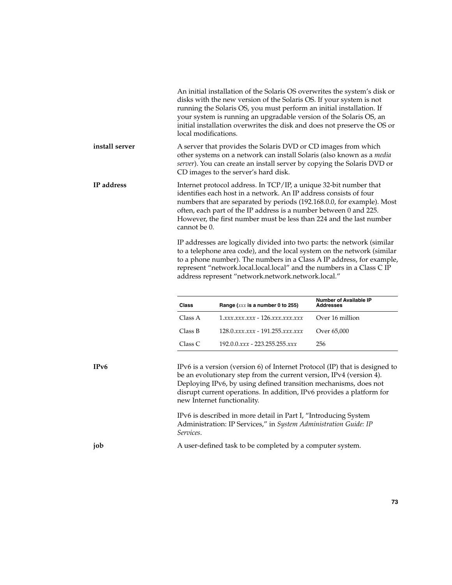|                | An initial installation of the Solaris OS overwrites the system's disk or<br>disks with the new version of the Solaris OS. If your system is not<br>running the Solaris OS, you must perform an initial installation. If<br>your system is running an upgradable version of the Solaris OS, an<br>initial installation overwrites the disk and does not preserve the OS or<br>local modifications.                                                   |
|----------------|------------------------------------------------------------------------------------------------------------------------------------------------------------------------------------------------------------------------------------------------------------------------------------------------------------------------------------------------------------------------------------------------------------------------------------------------------|
| install server | A server that provides the Solaris DVD or CD images from which<br>other systems on a network can install Solaris (also known as a <i>media</i><br>server). You can create an install server by copying the Solaris DVD or<br>CD images to the server's hard disk.                                                                                                                                                                                    |
| IP address     | Internet protocol address. In TCP/IP, a unique 32-bit number that<br>identifies each host in a network. An IP address consists of four<br>numbers that are separated by periods (192.168.0.0, for example). Most<br>often, each part of the IP address is a number between 0 and 225.<br>However, the first number must be less than 224 and the last number<br>cannot be 0.                                                                         |
|                | IP addresses are logically divided into two parts: the network (similar<br>to a telephone area code), and the local system on the network (similar<br>$\mathbf{t}$ , and the complete of $\mathbf{r}$ and $\mathbf{t}$ , and $\mathbf{t}$ , and $\mathbf{r}$ and $\mathbf{r}$ and $\mathbf{r}$ and $\mathbf{r}$ and $\mathbf{r}$ and $\mathbf{r}$ and $\mathbf{r}$ and $\mathbf{r}$ and $\mathbf{r}$ and $\mathbf{r}$ and $\mathbf{r}$ and $\mathbf$ |

to a phone number). The numbers in a Class A IP address, for example, represent "network.local.local.local" and the numbers in a Class C IP address represent "network.network.network.local."

| Class   | Range $(xxx$ is a number 0 to 255)  | <b>Number of Available IP</b><br>Addresses |
|---------|-------------------------------------|--------------------------------------------|
| Class A | $1. xxx.xxx.xxx - 126. xxx.xxx.xxx$ | Over 16 million                            |
| Class B | 128.0.xxx.xxx - 191.255.xxx.xxx     | Over 65,000                                |
| Class C | $192.0.0$ xxx - 223.255.255 xxx     | 256                                        |

**IPv6** IPv6 is a version (version 6) of Internet Protocol (IP) that is designed to be an evolutionary step from the current version, IPv4 (version 4). Deploying IPv6, by using defined transition mechanisms, does not disrupt current operations. In addition, IPv6 provides a platform for new Internet functionality.

> IPv6 is described in more detail in Part I, "Introducing System Administration: IP Services," in *System Administration Guide: IP Services*.

**job** A user-defined task to be completed by a computer system.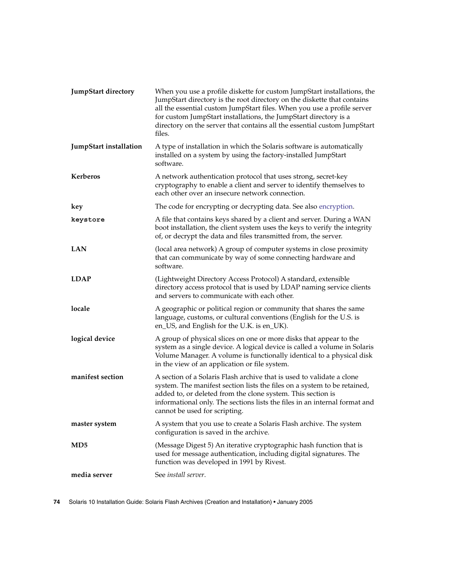| <b>JumpStart directory</b>    | When you use a profile diskette for custom JumpStart installations, the<br>JumpStart directory is the root directory on the diskette that contains<br>all the essential custom JumpStart files. When you use a profile server<br>for custom JumpStart installations, the JumpStart directory is a<br>directory on the server that contains all the essential custom JumpStart<br>files. |
|-------------------------------|-----------------------------------------------------------------------------------------------------------------------------------------------------------------------------------------------------------------------------------------------------------------------------------------------------------------------------------------------------------------------------------------|
| <b>JumpStart installation</b> | A type of installation in which the Solaris software is automatically<br>installed on a system by using the factory-installed JumpStart<br>software.                                                                                                                                                                                                                                    |
| <b>Kerberos</b>               | A network authentication protocol that uses strong, secret-key<br>cryptography to enable a client and server to identify themselves to<br>each other over an insecure network connection.                                                                                                                                                                                               |
| key                           | The code for encrypting or decrypting data. See also encryption.                                                                                                                                                                                                                                                                                                                        |
| keystore                      | A file that contains keys shared by a client and server. During a WAN<br>boot installation, the client system uses the keys to verify the integrity<br>of, or decrypt the data and files transmitted from, the server.                                                                                                                                                                  |
| <b>LAN</b>                    | (local area network) A group of computer systems in close proximity<br>that can communicate by way of some connecting hardware and<br>software.                                                                                                                                                                                                                                         |
| <b>LDAP</b>                   | (Lightweight Directory Access Protocol) A standard, extensible<br>directory access protocol that is used by LDAP naming service clients<br>and servers to communicate with each other.                                                                                                                                                                                                  |
| locale                        | A geographic or political region or community that shares the same<br>language, customs, or cultural conventions (English for the U.S. is<br>en_US, and English for the U.K. is en_UK).                                                                                                                                                                                                 |
| logical device                | A group of physical slices on one or more disks that appear to the<br>system as a single device. A logical device is called a volume in Solaris<br>Volume Manager. A volume is functionally identical to a physical disk<br>in the view of an application or file system.                                                                                                               |
| manifest section              | A section of a Solaris Flash archive that is used to validate a clone<br>system. The manifest section lists the files on a system to be retained,<br>added to, or deleted from the clone system. This section is<br>informational only. The sections lists the files in an internal format and<br>cannot be used for scripting.                                                         |
| master system                 | A system that you use to create a Solaris Flash archive. The system<br>configuration is saved in the archive.                                                                                                                                                                                                                                                                           |
| MD5                           | (Message Digest 5) An iterative cryptographic hash function that is<br>used for message authentication, including digital signatures. The<br>function was developed in 1991 by Rivest.                                                                                                                                                                                                  |
| media server                  | See install server.                                                                                                                                                                                                                                                                                                                                                                     |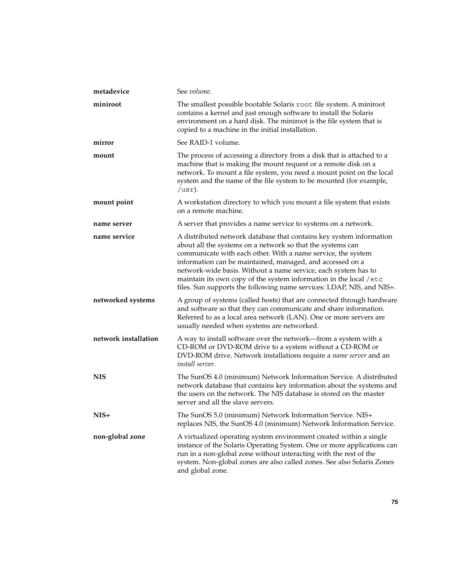<span id="page-74-0"></span>

| metadevice           | See volume.                                                                                                                                                                                                                                                                                                                                                                                                                                                                    |
|----------------------|--------------------------------------------------------------------------------------------------------------------------------------------------------------------------------------------------------------------------------------------------------------------------------------------------------------------------------------------------------------------------------------------------------------------------------------------------------------------------------|
| miniroot             | The smallest possible bootable Solaris root file system. A miniroot<br>contains a kernel and just enough software to install the Solaris<br>environment on a hard disk. The miniroot is the file system that is<br>copied to a machine in the initial installation.                                                                                                                                                                                                            |
| mirror               | See RAID-1 volume.                                                                                                                                                                                                                                                                                                                                                                                                                                                             |
| mount                | The process of accessing a directory from a disk that is attached to a<br>machine that is making the mount request or a remote disk on a<br>network. To mount a file system, you need a mount point on the local<br>system and the name of the file system to be mounted (for example,<br>$/usr$ ).                                                                                                                                                                            |
| mount point          | A workstation directory to which you mount a file system that exists<br>on a remote machine.                                                                                                                                                                                                                                                                                                                                                                                   |
| name server          | A server that provides a name service to systems on a network.                                                                                                                                                                                                                                                                                                                                                                                                                 |
| name service         | A distributed network database that contains key system information<br>about all the systems on a network so that the systems can<br>communicate with each other. With a name service, the system<br>information can be maintained, managed, and accessed on a<br>network-wide basis. Without a name service, each system has to<br>maintain its own copy of the system information in the local /etc<br>files. Sun supports the following name services: LDAP, NIS, and NIS+. |
| networked systems    | A group of systems (called hosts) that are connected through hardware<br>and software so that they can communicate and share information.<br>Referred to as a local area network (LAN). One or more servers are<br>usually needed when systems are networked.                                                                                                                                                                                                                  |
| network installation | A way to install software over the network-from a system with a<br>CD-ROM or DVD-ROM drive to a system without a CD-ROM or<br>DVD-ROM drive. Network installations require a name server and an<br>install server.                                                                                                                                                                                                                                                             |
| <b>NIS</b>           | The SunOS 4.0 (minimum) Network Information Service. A distributed<br>network database that contains key information about the systems and<br>the users on the network. The NIS database is stored on the master<br>server and all the slave servers.                                                                                                                                                                                                                          |
| NIS+                 | The SunOS 5.0 (minimum) Network Information Service. NIS+<br>replaces NIS, the SunOS 4.0 (minimum) Network Information Service.                                                                                                                                                                                                                                                                                                                                                |
| non-global zone      | A virtualized operating system environment created within a single<br>instance of the Solaris Operating System. One or more applications can<br>run in a non-global zone without interacting with the rest of the<br>system. Non-global zones are also called zones. See also Solaris Zones<br>and global zone.                                                                                                                                                                |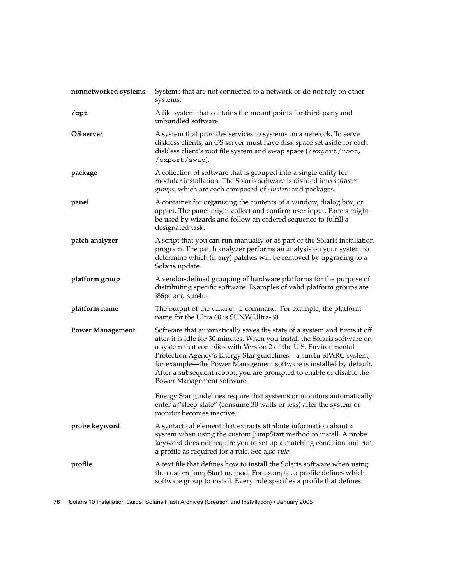| nonnetworked systems    | Systems that are not connected to a network or do not rely on other<br>systems.                                                                                                                                                                                                                                                                                                                                                                                          |
|-------------------------|--------------------------------------------------------------------------------------------------------------------------------------------------------------------------------------------------------------------------------------------------------------------------------------------------------------------------------------------------------------------------------------------------------------------------------------------------------------------------|
| /opt                    | A file system that contains the mount points for third-party and<br>unbundled software.                                                                                                                                                                                                                                                                                                                                                                                  |
| OS server               | A system that provides services to systems on a network. To serve<br>diskless clients, an OS server must have disk space set aside for each<br>diskless client's root file system and swap space (/export/root,<br>/export/swap).                                                                                                                                                                                                                                        |
| package                 | A collection of software that is grouped into a single entity for<br>modular installation. The Solaris software is divided into software<br>groups, which are each composed of <i>clusters</i> and packages.                                                                                                                                                                                                                                                             |
| panel                   | A container for organizing the contents of a window, dialog box, or<br>applet. The panel might collect and confirm user input. Panels might<br>be used by wizards and follow an ordered sequence to fulfill a<br>designated task.                                                                                                                                                                                                                                        |
| patch analyzer          | A script that you can run manually or as part of the Solaris installation<br>program. The patch analyzer performs an analysis on your system to<br>determine which (if any) patches will be removed by upgrading to a<br>Solaris update.                                                                                                                                                                                                                                 |
| platform group          | A vendor-defined grouping of hardware platforms for the purpose of<br>distributing specific software. Examples of valid platform groups are<br>i86pc and sun4u.                                                                                                                                                                                                                                                                                                          |
| platform name           | The output of the uname -i command. For example, the platform<br>name for the Ultra 60 is SUNW, Ultra-60.                                                                                                                                                                                                                                                                                                                                                                |
| <b>Power Management</b> | Software that automatically saves the state of a system and turns it off<br>after it is idle for 30 minutes. When you install the Solaris software on<br>a system that complies with Version 2 of the U.S. Environmental<br>Protection Agency's Energy Star guidelines—a sun4u SPARC system,<br>for example—the Power Management software is installed by default.<br>After a subsequent reboot, you are prompted to enable or disable the<br>Power Management software. |
|                         | Energy Star guidelines require that systems or monitors automatically<br>enter a "sleep state" (consume 30 watts or less) after the system or<br>monitor becomes inactive.                                                                                                                                                                                                                                                                                               |
| probe keyword           | A syntactical element that extracts attribute information about a<br>system when using the custom JumpStart method to install. A probe<br>keyword does not require you to set up a matching condition and run<br>a profile as required for a rule. See also rule.                                                                                                                                                                                                        |
| profile                 | A text file that defines how to install the Solaris software when using<br>the custom JumpStart method. For example, a profile defines which<br>software group to install. Every rule specifies a profile that defines                                                                                                                                                                                                                                                   |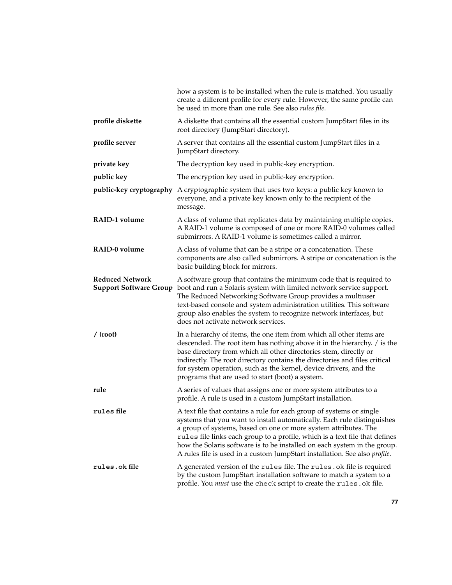|                                                         | how a system is to be installed when the rule is matched. You usually<br>create a different profile for every rule. However, the same profile can<br>be used in more than one rule. See also <i>rules file</i> .                                                                                                                                                                                                                                                    |
|---------------------------------------------------------|---------------------------------------------------------------------------------------------------------------------------------------------------------------------------------------------------------------------------------------------------------------------------------------------------------------------------------------------------------------------------------------------------------------------------------------------------------------------|
| profile diskette                                        | A diskette that contains all the essential custom JumpStart files in its<br>root directory (JumpStart directory).                                                                                                                                                                                                                                                                                                                                                   |
| profile server                                          | A server that contains all the essential custom JumpStart files in a<br>JumpStart directory.                                                                                                                                                                                                                                                                                                                                                                        |
| private key                                             | The decryption key used in public-key encryption.                                                                                                                                                                                                                                                                                                                                                                                                                   |
| public key                                              | The encryption key used in public-key encryption.                                                                                                                                                                                                                                                                                                                                                                                                                   |
|                                                         | public-key cryptography A cryptographic system that uses two keys: a public key known to<br>everyone, and a private key known only to the recipient of the<br>message.                                                                                                                                                                                                                                                                                              |
| RAID-1 volume                                           | A class of volume that replicates data by maintaining multiple copies.<br>A RAID-1 volume is composed of one or more RAID-0 volumes called<br>submirrors. A RAID-1 volume is sometimes called a mirror.                                                                                                                                                                                                                                                             |
| RAID-0 volume                                           | A class of volume that can be a stripe or a concatenation. These<br>components are also called submirrors. A stripe or concatenation is the<br>basic building block for mirrors.                                                                                                                                                                                                                                                                                    |
| <b>Reduced Network</b><br><b>Support Software Group</b> | A software group that contains the minimum code that is required to<br>boot and run a Solaris system with limited network service support.<br>The Reduced Networking Software Group provides a multiuser<br>text-based console and system administration utilities. This software<br>group also enables the system to recognize network interfaces, but<br>does not activate network services.                                                                      |
| $/$ (root)                                              | In a hierarchy of items, the one item from which all other items are<br>descended. The root item has nothing above it in the hierarchy. / is the<br>base directory from which all other directories stem, directly or<br>indirectly. The root directory contains the directories and files critical<br>for system operation, such as the kernel, device drivers, and the<br>programs that are used to start (boot) a system.                                        |
| rule                                                    | A series of values that assigns one or more system attributes to a<br>profile. A rule is used in a custom JumpStart installation.                                                                                                                                                                                                                                                                                                                                   |
| rules file                                              | A text file that contains a rule for each group of systems or single<br>systems that you want to install automatically. Each rule distinguishes<br>a group of systems, based on one or more system attributes. The<br>rules file links each group to a profile, which is a text file that defines<br>how the Solaris software is to be installed on each system in the group.<br>A rules file is used in a custom JumpStart installation. See also <i>profile</i> . |
| rules.okfile                                            | A generated version of the rules file. The rules . ok file is required<br>by the custom JumpStart installation software to match a system to a<br>profile. You must use the check script to create the rules. ok file.                                                                                                                                                                                                                                              |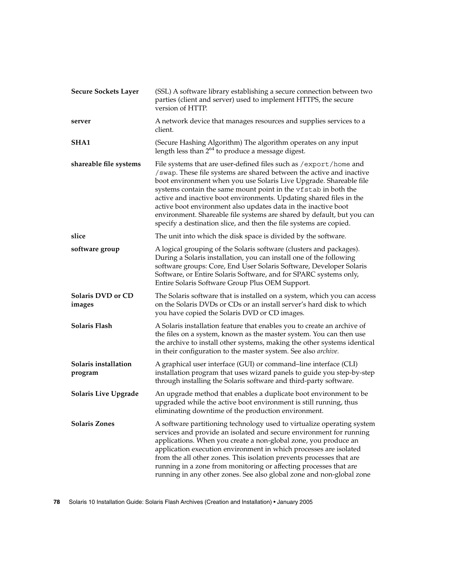| <b>Secure Sockets Layer</b>     | (SSL) A software library establishing a secure connection between two<br>parties (client and server) used to implement HTTPS, the secure<br>version of HTTP.                                                                                                                                                                                                                                                                                                                                                                                                               |
|---------------------------------|----------------------------------------------------------------------------------------------------------------------------------------------------------------------------------------------------------------------------------------------------------------------------------------------------------------------------------------------------------------------------------------------------------------------------------------------------------------------------------------------------------------------------------------------------------------------------|
| server                          | A network device that manages resources and supplies services to a<br>client.                                                                                                                                                                                                                                                                                                                                                                                                                                                                                              |
| <b>SHA1</b>                     | (Secure Hashing Algorithm) The algorithm operates on any input<br>length less than $2^{64}$ to produce a message digest.                                                                                                                                                                                                                                                                                                                                                                                                                                                   |
| shareable file systems          | File systems that are user-defined files such as /export/home and<br>/swap. These file systems are shared between the active and inactive<br>boot environment when you use Solaris Live Upgrade. Shareable file<br>systems contain the same mount point in the vfstab in both the<br>active and inactive boot environments. Updating shared files in the<br>active boot environment also updates data in the inactive boot<br>environment. Shareable file systems are shared by default, but you can<br>specify a destination slice, and then the file systems are copied. |
| slice                           | The unit into which the disk space is divided by the software.                                                                                                                                                                                                                                                                                                                                                                                                                                                                                                             |
| software group                  | A logical grouping of the Solaris software (clusters and packages).<br>During a Solaris installation, you can install one of the following<br>software groups: Core, End User Solaris Software, Developer Solaris<br>Software, or Entire Solaris Software, and for SPARC systems only,<br>Entire Solaris Software Group Plus OEM Support.                                                                                                                                                                                                                                  |
| Solaris DVD or CD<br>images     | The Solaris software that is installed on a system, which you can access<br>on the Solaris DVDs or CDs or an install server's hard disk to which<br>you have copied the Solaris DVD or CD images.                                                                                                                                                                                                                                                                                                                                                                          |
| Solaris Flash                   | A Solaris installation feature that enables you to create an archive of<br>the files on a system, known as the master system. You can then use<br>the archive to install other systems, making the other systems identical<br>in their configuration to the master system. See also archive.                                                                                                                                                                                                                                                                               |
| Solaris installation<br>program | A graphical user interface (GUI) or command-line interface (CLI)<br>installation program that uses wizard panels to guide you step-by-step<br>through installing the Solaris software and third-party software.                                                                                                                                                                                                                                                                                                                                                            |
| Solaris Live Upgrade            | An upgrade method that enables a duplicate boot environment to be<br>upgraded while the active boot environment is still running, thus<br>eliminating downtime of the production environment.                                                                                                                                                                                                                                                                                                                                                                              |
| <b>Solaris Zones</b>            | A software partitioning technology used to virtualize operating system<br>services and provide an isolated and secure environment for running<br>applications. When you create a non-global zone, you produce an<br>application execution environment in which processes are isolated<br>from the all other zones. This isolation prevents processes that are<br>running in a zone from monitoring or affecting processes that are<br>running in any other zones. See also global zone and non-global zone                                                                 |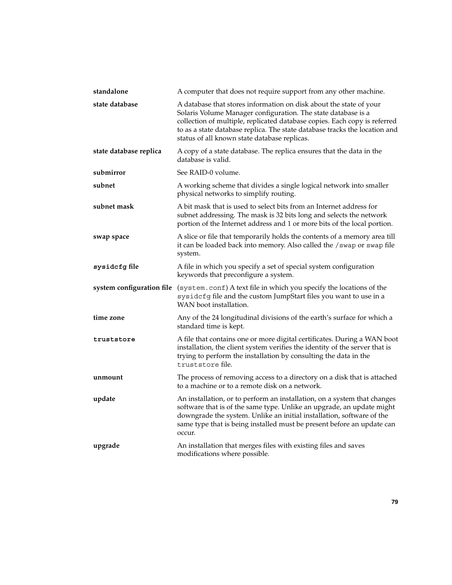| standalone                | A computer that does not require support from any other machine.                                                                                                                                                                                                                                                                               |
|---------------------------|------------------------------------------------------------------------------------------------------------------------------------------------------------------------------------------------------------------------------------------------------------------------------------------------------------------------------------------------|
| state database            | A database that stores information on disk about the state of your<br>Solaris Volume Manager configuration. The state database is a<br>collection of multiple, replicated database copies. Each copy is referred<br>to as a state database replica. The state database tracks the location and<br>status of all known state database replicas. |
| state database replica    | A copy of a state database. The replica ensures that the data in the<br>database is valid.                                                                                                                                                                                                                                                     |
| submirror                 | See RAID-0 volume.                                                                                                                                                                                                                                                                                                                             |
| subnet                    | A working scheme that divides a single logical network into smaller<br>physical networks to simplify routing.                                                                                                                                                                                                                                  |
| subnet mask               | A bit mask that is used to select bits from an Internet address for<br>subnet addressing. The mask is 32 bits long and selects the network<br>portion of the Internet address and 1 or more bits of the local portion.                                                                                                                         |
| swap space                | A slice or file that temporarily holds the contents of a memory area till<br>it can be loaded back into memory. Also called the / swap or swap file<br>system.                                                                                                                                                                                 |
| sysidcfg file             | A file in which you specify a set of special system configuration<br>keywords that preconfigure a system.                                                                                                                                                                                                                                      |
| system configuration file | (system.conf) A text file in which you specify the locations of the<br>sysidcfg file and the custom JumpStart files you want to use in a<br>WAN boot installation.                                                                                                                                                                             |
| time zone                 | Any of the 24 longitudinal divisions of the earth's surface for which a<br>standard time is kept.                                                                                                                                                                                                                                              |
| truststore                | A file that contains one or more digital certificates. During a WAN boot<br>installation, the client system verifies the identity of the server that is<br>trying to perform the installation by consulting the data in the<br>truststore file.                                                                                                |
| unmount                   | The process of removing access to a directory on a disk that is attached<br>to a machine or to a remote disk on a network.                                                                                                                                                                                                                     |
| update                    | An installation, or to perform an installation, on a system that changes<br>software that is of the same type. Unlike an upgrade, an update might<br>downgrade the system. Unlike an initial installation, software of the<br>same type that is being installed must be present before an update can<br>occur.                                 |
| upgrade                   | An installation that merges files with existing files and saves<br>modifications where possible.                                                                                                                                                                                                                                               |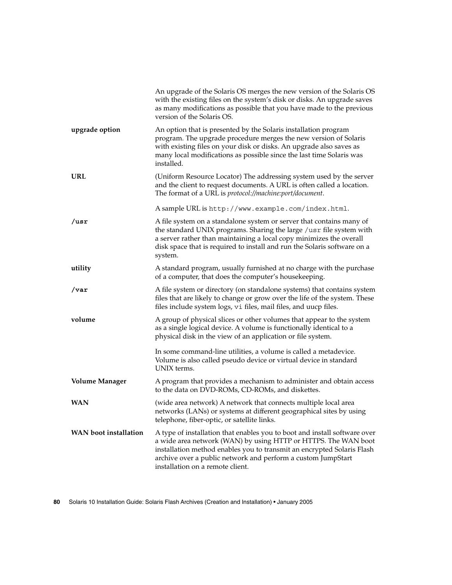|                              | An upgrade of the Solaris OS merges the new version of the Solaris OS<br>with the existing files on the system's disk or disks. An upgrade saves<br>as many modifications as possible that you have made to the previous<br>version of the Solaris OS.                                                                    |
|------------------------------|---------------------------------------------------------------------------------------------------------------------------------------------------------------------------------------------------------------------------------------------------------------------------------------------------------------------------|
| upgrade option               | An option that is presented by the Solaris installation program<br>program. The upgrade procedure merges the new version of Solaris<br>with existing files on your disk or disks. An upgrade also saves as<br>many local modifications as possible since the last time Solaris was<br>installed.                          |
| URL                          | (Uniform Resource Locator) The addressing system used by the server<br>and the client to request documents. A URL is often called a location.<br>The format of a URL is protocol://machine:port/document.                                                                                                                 |
|                              | A sample URL is <code>http://www.example.com/index.html.</code>                                                                                                                                                                                                                                                           |
| /usr                         | A file system on a standalone system or server that contains many of<br>the standard UNIX programs. Sharing the large /usr file system with<br>a server rather than maintaining a local copy minimizes the overall<br>disk space that is required to install and run the Solaris software on a<br>system.                 |
| utility                      | A standard program, usually furnished at no charge with the purchase<br>of a computer, that does the computer's housekeeping.                                                                                                                                                                                             |
| /var                         | A file system or directory (on standalone systems) that contains system<br>files that are likely to change or grow over the life of the system. These<br>files include system logs, vi files, mail files, and uucp files.                                                                                                 |
| volume                       | A group of physical slices or other volumes that appear to the system<br>as a single logical device. A volume is functionally identical to a<br>physical disk in the view of an application or file system.                                                                                                               |
|                              | In some command-line utilities, a volume is called a metadevice.<br>Volume is also called pseudo device or virtual device in standard<br>UNIX terms.                                                                                                                                                                      |
| <b>Volume Manager</b>        | A program that provides a mechanism to administer and obtain access<br>to the data on DVD-ROMs, CD-ROMs, and diskettes.                                                                                                                                                                                                   |
| WAN                          | (wide area network) A network that connects multiple local area<br>networks (LANs) or systems at different geographical sites by using<br>telephone, fiber-optic, or satellite links.                                                                                                                                     |
| <b>WAN</b> boot installation | A type of installation that enables you to boot and install software over<br>a wide area network (WAN) by using HTTP or HTTPS. The WAN boot<br>installation method enables you to transmit an encrypted Solaris Flash<br>archive over a public network and perform a custom JumpStart<br>installation on a remote client. |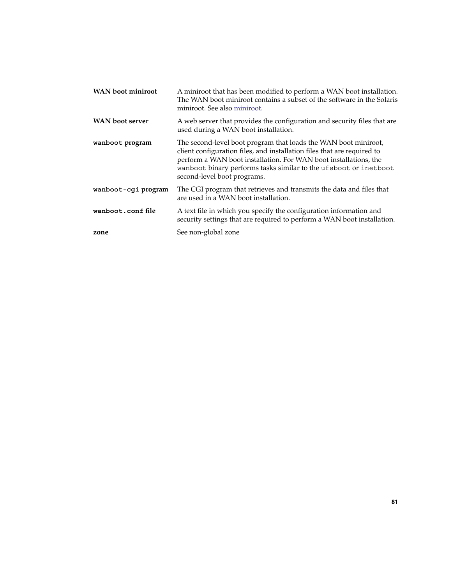| <b>WAN</b> boot miniroot | A miniroot that has been modified to perform a WAN boot installation.<br>The WAN boot miniroot contains a subset of the software in the Solaris<br>miniroot. See also miniroot.                                                                                                                                   |
|--------------------------|-------------------------------------------------------------------------------------------------------------------------------------------------------------------------------------------------------------------------------------------------------------------------------------------------------------------|
| <b>WAN</b> boot server   | A web server that provides the configuration and security files that are<br>used during a WAN boot installation.                                                                                                                                                                                                  |
| wanboot program          | The second-level boot program that loads the WAN boot miniroot,<br>client configuration files, and installation files that are required to<br>perform a WAN boot installation. For WAN boot installations, the<br>wanboot binary performs tasks similar to the ufsboot or inetboot<br>second-level boot programs. |
| wanboot-cgi program      | The CGI program that retrieves and transmits the data and files that<br>are used in a WAN boot installation.                                                                                                                                                                                                      |
| wanboot.conf file        | A text file in which you specify the configuration information and<br>security settings that are required to perform a WAN boot installation.                                                                                                                                                                     |
| zone                     | See non-global zone                                                                                                                                                                                                                                                                                               |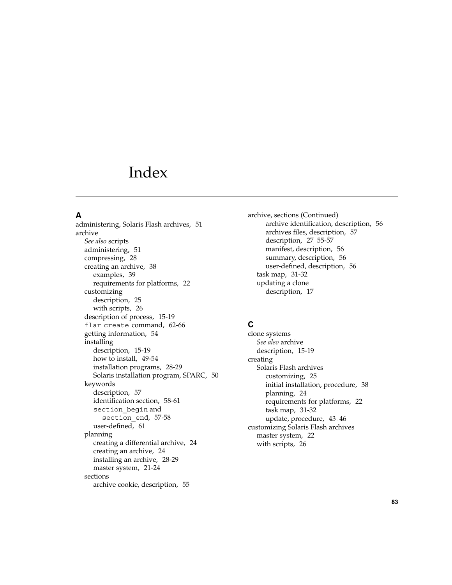# Index

# **A**

administering, Solaris Flash archives, [51](#page-50-0) archive *See also* scripts administering, [51](#page-50-0) compressing, [28](#page-27-0) creating an archive, [38](#page-37-0) examples, [39](#page-38-0) requirements for platforms, [22](#page-21-0) customizing description, [25](#page-24-0) with scripts, [26](#page-25-0) description of process, [15-19](#page-14-0) flar create command, [62-66](#page-61-0) getting information, [54](#page-53-0) installing description, [15-19](#page-14-0) how to install, [49-54](#page-48-0) installation programs, [28-29](#page-27-0) Solaris installation program, SPARC, [50](#page-49-0) keywords description, [57](#page-56-0) identification section, [58-61](#page-57-0) section\_begin and section\_end, [57-58](#page-56-0) user-defined, [61](#page-60-0) planning creating a differential archive, [24](#page-23-0) creating an archive, [24](#page-23-0) installing an archive, [28-29](#page-27-0) master system, [21-24](#page-20-0) sections archive cookie, description, [55](#page-54-0)

archive, sections (Continued) archive identification, description, [56](#page-55-0) archives files, description, [57](#page-56-0) description, [27,](#page-26-0) [55-57](#page-54-0) manifest, description, [56](#page-55-0) summary, description, [56](#page-55-0) user-defined, description, [56](#page-55-0) task map, [31-32](#page-30-0) updating a clone description, [17](#page-16-0)

## **C**

clone systems *See also* archive description, [15-19](#page-14-0) creating Solaris Flash archives customizing, [25](#page-24-0) initial installation, procedure, [38](#page-37-0) planning, [24](#page-23-0) requirements for platforms, [22](#page-21-0) task map, [31-32](#page-30-0) update, procedure, [43,](#page-42-0) [46](#page-45-0) customizing Solaris Flash archives master system, [22](#page-21-0) with scripts, [26](#page-25-0)